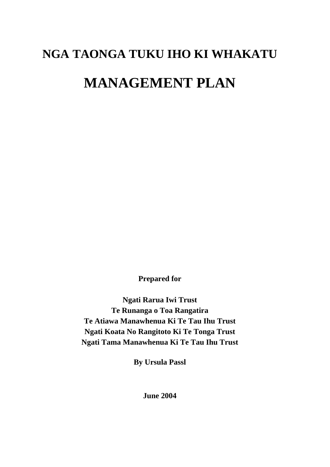# **NGA TAONGA TUKU IHO KI WHAKATU MANAGEMENT PLAN**

**Prepared for** 

**Ngati Rarua Iwi Trust Te Runanga o Toa Rangatira Te Atiawa Manawhenua Ki Te Tau Ihu Trust Ngati Koata No Rangitoto Ki Te Tonga Trust Ngati Tama Manawhenua Ki Te Tau Ihu Trust** 

**By Ursula Passl** 

**June 2004**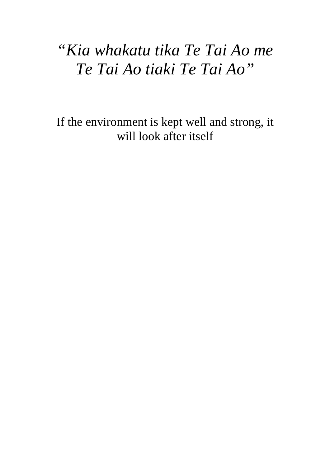## *"Kia whakatu tika Te Tai Ao me Te Tai Ao tiaki Te Tai Ao"*

If the environment is kept well and strong, it will look after itself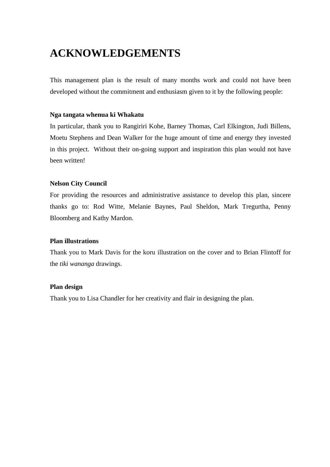## **ACKNOWLEDGEMENTS**

This management plan is the result of many months work and could not have been developed without the commitment and enthusiasm given to it by the following people:

#### **Nga tangata whenua ki Whakatu**

In particular, thank you to Rangiriri Kohe, Barney Thomas, Carl Elkington, Judi Billens, Moetu Stephens and Dean Walker for the huge amount of time and energy they invested in this project. Without their on-going support and inspiration this plan would not have been written!

#### **Nelson City Council**

For providing the resources and administrative assistance to develop this plan, sincere thanks go to: Rod Witte, Melanie Baynes, Paul Sheldon, Mark Tregurtha, Penny Bloomberg and Kathy Mardon.

#### **Plan illustrations**

Thank you to Mark Davis for the koru illustration on the cover and to Brian Flintoff for the *tiki wananga* drawings.

#### **Plan design**

Thank you to Lisa Chandler for her creativity and flair in designing the plan.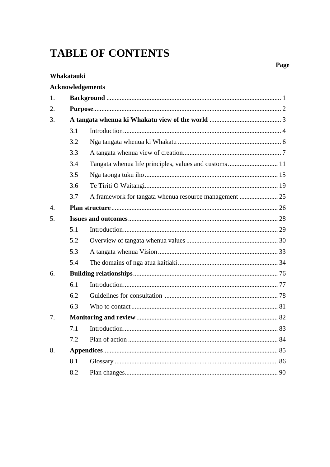## **TABLE OF CONTENTS**

#### Whakatauki

## Acknowledgements

| 1.           |     |  |  |  |  |
|--------------|-----|--|--|--|--|
| 2.           |     |  |  |  |  |
| 3.           |     |  |  |  |  |
|              | 3.1 |  |  |  |  |
|              | 3.2 |  |  |  |  |
|              | 3.3 |  |  |  |  |
|              | 3.4 |  |  |  |  |
|              | 3.5 |  |  |  |  |
|              | 3.6 |  |  |  |  |
|              | 3.7 |  |  |  |  |
| $\mathbf{4}$ |     |  |  |  |  |
| 5.           |     |  |  |  |  |
|              | 5.1 |  |  |  |  |
|              | 5.2 |  |  |  |  |
|              | 5.3 |  |  |  |  |
|              | 5.4 |  |  |  |  |
| 6.           |     |  |  |  |  |
|              | 6.1 |  |  |  |  |
|              | 6.2 |  |  |  |  |
|              | 6.3 |  |  |  |  |
| 7.           |     |  |  |  |  |
|              | 7.1 |  |  |  |  |
|              | 7.2 |  |  |  |  |
| 8.           |     |  |  |  |  |
|              | 8.1 |  |  |  |  |
|              | 8.2 |  |  |  |  |

## Page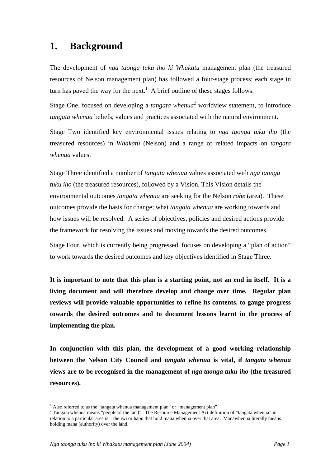## **1. Background**

The development of *nga taonga tuku iho ki Whakatu* management plan (the treasured resources of Nelson management plan) has followed a four-stage process; each stage in turn has paved the way for the next[.](#page-4-0)<sup>1</sup> A brief outline of these stages follows:

Stage One, focused on developing a *tangata whenua*<sup>[2](#page-4-1)</sup> worldview statement, to introduce *tangata whenua* beliefs, values and practices associated with the natural environment.

Stage Two identified key environmental issues relating to *nga taonga tuku iho* (the treasured resources) in *Whakatu* (Nelson) and a range of related impacts on *tangata whenua* values.

Stage Three identified a number of *tangata whenua* values associated with *nga taonga tuku iho* (the treasured resources), followed by a Vision. This Vision details the environmental outcomes *tangata whenua* are seeking for the Nelson *rohe* (area). These outcomes provide the basis for change; what *tangata whenua* are working towards and how issues will be resolved. A series of objectives, policies and desired actions provide the framework for resolving the issues and moving towards the desired outcomes.

Stage Four, which is currently being progressed, focuses on developing a "plan of action" to work towards the desired outcomes and key objectives identified in Stage Three.

**It is important to note that this plan is a starting point, not an end in itself. It is a living document and will therefore develop and change over time. Regular plan reviews will provide valuable opportunities to refine its contents, to gauge progress towards the desired outcomes and to document lessons learnt in the process of implementing the plan.** 

**In conjunction with this plan, the development of a good working relationship between the Nelson City Council and** *tangata whenua* **is vital, if** *tangata whenua* **views are to be recognised in the management of** *nga taonga tuku iho* **(the treasured resources).** 

<span id="page-4-0"></span><sup>&</sup>lt;sup>1</sup> Also referred to as the "tangata whenua management plan" or "management plan"  $\frac{2}{\pi}$  Tengata whenus magnes "recepts of the land". The Because Management A at definition

<span id="page-4-1"></span><sup>&</sup>lt;sup>2</sup> Tangata whenua means "people of the land". The Resource Management Act definition of "tangata whenua" in relation to a particular area is – the iwi or hapu that hold mana whenua over that area. Manawhenua literally means holding mana (authority) over the land.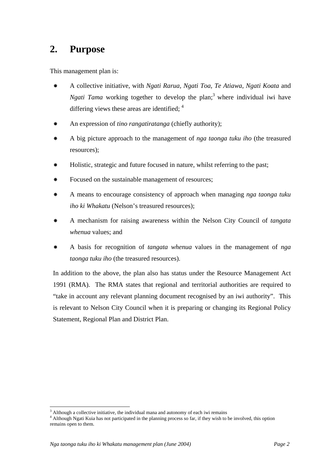## **2. Purpose**

This management plan is:

- A collective initiative, with *Ngati Rarua, Ngati Toa, Te Atiawa, Ngati Koata* and *Ngati Tama* working together to develop the plan;<sup>[3](#page-5-0)</sup> where individual iwi have differing views these areas are identified;  $4$
- An expression of *tino rangatiratanga* (chiefly authority);
- A big picture approach to the management of *nga taonga tuku iho* (the treasured resources);
- Holistic, strategic and future focused in nature, whilst referring to the past;
- Focused on the sustainable management of resources;
- A means to encourage consistency of approach when managing *nga taonga tuku iho ki Whakatu* (Nelson's treasured resources);
- A mechanism for raising awareness within the Nelson City Council of *tangata whenua* values; and
- A basis for recognition of *tangata whenua* values in the management of *nga taonga tuku iho* (the treasured resources).

In addition to the above, the plan also has status under the Resource Management Act 1991 (RMA). The RMA states that regional and territorial authorities are required to "take in account any relevant planning document recognised by an iwi authority". This is relevant to Nelson City Council when it is preparing or changing its Regional Policy Statement, Regional Plan and District Plan.

<span id="page-5-0"></span> $3$  Although a collective initiative, the individual mana and autonomy of each iwi remains

<span id="page-5-1"></span><sup>&</sup>lt;sup>4</sup> Although Ngati Kuia has not participated in the planning process so far, if they wish to be involved, this option remains open to them.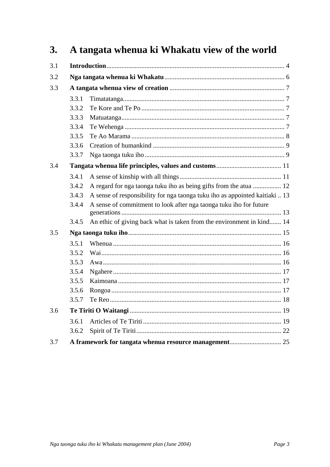#### A tangata whenua ki Whakatu view of the world  $3.$

| 3.1 |       |                                                                             |  |  |
|-----|-------|-----------------------------------------------------------------------------|--|--|
| 3.2 |       |                                                                             |  |  |
| 3.3 |       |                                                                             |  |  |
|     | 3.3.1 |                                                                             |  |  |
|     | 3.3.2 |                                                                             |  |  |
|     | 3.3.3 |                                                                             |  |  |
|     | 3.3.4 |                                                                             |  |  |
|     | 3.3.5 |                                                                             |  |  |
|     | 3.3.6 |                                                                             |  |  |
|     | 3.3.7 |                                                                             |  |  |
| 3.4 |       |                                                                             |  |  |
|     | 3.4.1 |                                                                             |  |  |
|     | 3.4.2 | A regard for nga taonga tuku iho as being gifts from the atua  12           |  |  |
|     | 3.4.3 | A sense of responsibility for nga taonga tuku iho as appointed kaitiaki  13 |  |  |
|     | 3.4.4 | A sense of commitment to look after nga taonga tuku iho for future          |  |  |
|     | 3.4.5 | An ethic of giving back what is taken from the environment in kind 14       |  |  |
| 3.5 |       |                                                                             |  |  |
|     | 3.5.1 |                                                                             |  |  |
|     | 3.5.2 |                                                                             |  |  |
|     | 3.5.3 |                                                                             |  |  |
|     | 3.5.4 |                                                                             |  |  |
|     | 3.5.5 |                                                                             |  |  |
|     | 3.5.6 |                                                                             |  |  |
|     | 3.5.7 |                                                                             |  |  |
| 3.6 |       |                                                                             |  |  |
|     | 3.6.1 |                                                                             |  |  |
|     | 3.6.2 |                                                                             |  |  |
| 3.7 |       |                                                                             |  |  |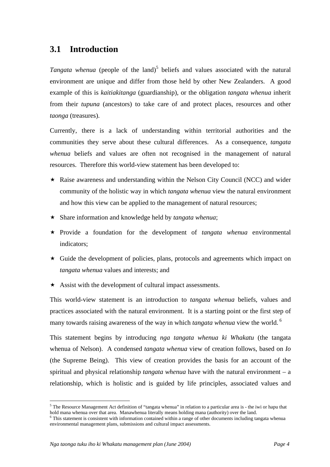## **3.1 Introduction**

*Tangata whenua* (people of the land)<sup>5</sup> beliefs and values associated with the natural environment are unique and differ from those held by other New Zealanders. A good example of this is *kaitiakitanga* (guardianship), or the obligation *tangata whenua* inherit from their *tupuna* (ancestors) to take care of and protect places, resources and other *taonga* (treasures).

Currently, there is a lack of understanding within territorial authorities and the communities they serve about these cultural differences. As a consequence, *tangata whenua* beliefs and values are often not recognised in the management of natural resources. Therefore this world-view statement has been developed to:

- $\star$  Raise awareness and understanding within the Nelson City Council (NCC) and wider community of the holistic way in which *tangata whenua* view the natural environment and how this view can be applied to the management of natural resources;
- Share information and knowledge held by *tangata whenua*;
- Provide a foundation for the development of *tangata whenua* environmental indicators;
- $\star$  Guide the development of policies, plans, protocols and agreements which impact on *tangata whenua* values and interests; and
- $\star$  Assist with the development of cultural impact assessments.

This world-view statement is an introduction to *tangata whenua* beliefs, values and practices associated with the natural environment. It is a starting point or the first step of many towards raising awareness of the way in which *tangata whenua* view the world. <sup>6</sup>

This statement begins by introducing *nga tangata whenua ki Whakatu* (the tangata whenua of Nelson). A condensed *tangata whenua* view of creation follows, based on *Io* (the Supreme Being). This view of creation provides the basis for an account of the spiritual and physical relationship *tangata whenua* have with the natural environment – a relationship, which is holistic and is guided by life principles, associated values and

<span id="page-7-0"></span><sup>&</sup>lt;sup>5</sup> The Resource Management Act definition of "tangata whenua" in relation to a particular area is - the iwi or hapu that hold mana whenua over that area. Manawhenua literally means holding mana (authority) over the land. 6

<span id="page-7-1"></span><sup>&</sup>lt;sup>6</sup> This statement is consistent with information contained within a range of other documents including tangata whenua environmental management plans, submissions and cultural impact assessments.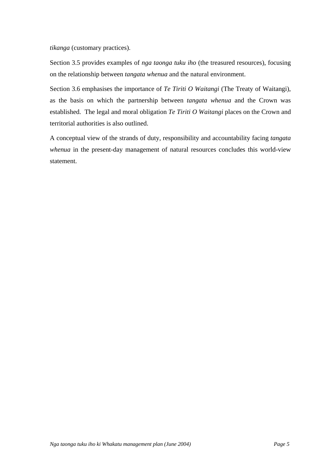*tikanga* (customary practices).

Section 3.5 provides examples of *nga taonga tuku iho* (the treasured resources), focusing on the relationship between *tangata whenua* and the natural environment.

Section 3.6 emphasises the importance of *Te Tiriti O Waitangi* (The Treaty of Waitangi), as the basis on which the partnership between *tangata whenua* and the Crown was established. The legal and moral obligation *Te Tiriti O Waitangi* places on the Crown and territorial authorities is also outlined.

A conceptual view of the strands of duty, responsibility and accountability facing *tangata whenua* in the present-day management of natural resources concludes this world-view statement.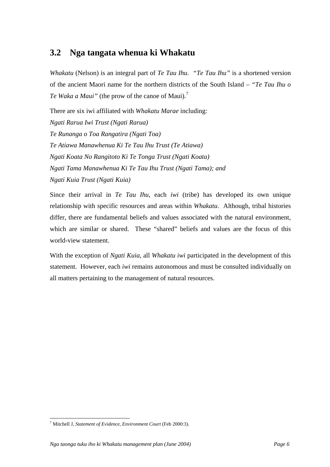## **3.2 Nga tangata whenua ki Whakatu**

*Whakatu* (Nelson) is an integral part of *Te Tau Ihu*. *"Te Tau Ihu"* is a shortened version of the ancient Maori name for the northern districts of the South Island – *"Te Tau Ihu o Te Waka a Maui*" (the prow of the canoe of Maui).<sup>7</sup>

There are six iwi affiliated with *Whakatu Marae* including: *Ngati Rarua Iwi Trust (Ngati Rarua) Te Runanga o Toa Rangatira (Ngati Toa) Te Atiawa Manawhenua Ki Te Tau Ihu Trust (Te Atiawa) Ngati Koata No Rangitoto Ki Te Tonga Trust (Ngati Koata) Ngati Tama Manawhenua Ki Te Tau Ihu Trust (Ngati Tama); and Ngati Kuia Trust (Ngati Kuia)*

Since their arrival in *Te Tau Ihu*, each *iwi* (tribe) has developed its own unique relationship with specific resources and areas within *Whakatu*. Although, tribal histories differ, there are fundamental beliefs and values associated with the natural environment, which are similar or shared. These "shared" beliefs and values are the focus of this world-view statement.

With the exception of *Ngati Kuia,* all *Whakatu iwi* participated in the development of this statement. However, each *iwi* remains autonomous and must be consulted individually on all matters pertaining to the management of natural resources.

<span id="page-9-0"></span><sup>7</sup> Mitchell J, *Statement of Evidence, Environment Court* (Feb 2000:3).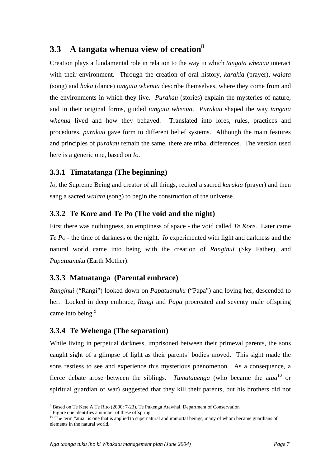## **3.3 A tangata whenua view of creation[8](#page-10-0)**

Creation plays a fundamental role in relation to the way in which *tangata whenua* interact with their environment. Through the creation of oral history, *karakia* (prayer), *waiata* (song) and *haka* (dance) *tangata whenua* describe themselves, where they come from and the environments in which they live. *Purakau* (stories) explain the mysteries of nature, and in their original forms, guided *tangata whenua*. *Purakau* shaped the way *tangata whenua* lived and how they behaved. Translated into lores, rules, practices and procedures, *purakau* gave form to different belief systems. Although the main features and principles of *purakau* remain the same, there are tribal differences. The version used here is a generic one, based on *Io.*

## **3.3.1 Timatatanga (The beginning)**

*Io*, the Supreme Being and creator of all things, recited a sacred *karakia* (prayer) and then sang a sacred *waiata* (song) to begin the construction of the universe.

## **3.3.2 Te Kore and Te Po (The void and the night)**

First there was nothingness, an emptiness of space - the void called *Te Kore*. Later came *Te Po* - the time of darkness or the night. *Io* experimented with light and darkness and the natural world came into being with the creation of *Ranginui* (Sky Father), and *Papatuanuku* (Earth Mother).

## **3.3.3 Matuatanga (Parental embrace)**

*Ranginui* ("Rangi") looked down on *Papatuanuku* ("Papa") and loving her, descended to her. Locked in deep embrace, *Rangi* and *Papa* procreated and seventy male offspring came into being.<sup>[9](#page-10-1)</sup>

## **3.3.4 Te Wehenga (The separation)**

While living in perpetual darkness, imprisoned between their primeval parents, the sons caught sight of a glimpse of light as their parents' bodies moved. This sight made the sons restless to see and experience this mysterious phenomenon. As a consequence, a fierce debate arose between the siblings. *Tumatauenga* (who became the a*tua* [10](#page-10-2) or spiritual guardian of war) suggested that they kill their parents, but his brothers did not

<span id="page-10-0"></span> $^8$  Based on Te Kete A Te Rito (2000: 7-23), Te Pukenga Atawhai, Department of Conservation  $^9$  Eiguns are identified a number of these of funding

<span id="page-10-2"></span><span id="page-10-1"></span>

Figure one identifies a number of these offspring.<br><sup>10</sup> The term "atua" is one that is applied to supernatural and immortal beings, many of whom became guardians of elements in the natural world.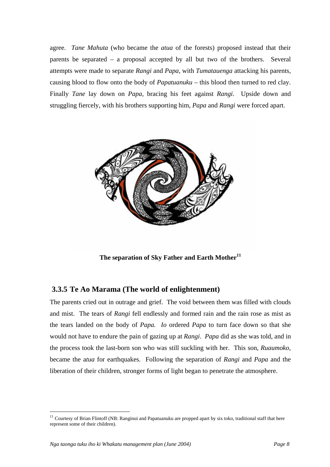agree. *Tane Mahuta* (who became the *atua* of the forests) proposed instead that their parents be separated – a proposal accepted by all but two of the brothers. Several attempts were made to separate *Rangi* and *Papa*, with *Tumatauenga* attacking his parents, causing blood to flow onto the body of *Papatuanuku* – this blood then turned to red clay. Finally *Tane* lay down on *Papa*, bracing his feet against *Rangi*. Upside down and struggling fiercely, with his brothers supporting him, *Papa* and *Rangi* were forced apart.



**The separation of Sky Father and Earth Mother[11](#page-11-0)**

### **3.3.5 Te Ao Marama (The world of enlightenment)**

The parents cried out in outrage and grief. The void between them was filled with clouds and mist. The tears of *Rangi* fell endlessly and formed rain and the rain rose as mist as the tears landed on the body of *Papa. Io* ordered *Papa* to turn face down so that she would not have to endure the pain of gazing up at *Rangi*. *Papa* did as she was told, and in the process took the last-born son who was still suckling with her. This son, *Ruaumoko,* became the a*tua* for earthquakes. Following the separation of *Rangi* and *Papa* and the liberation of their children, stronger forms of light began to penetrate the atmosphere.

<span id="page-11-0"></span> $11$  Courtesy of Brian Flintoff (NB: Ranginui and Papatuanuku are propped apart by six toko, traditional staff that here represent some of their children).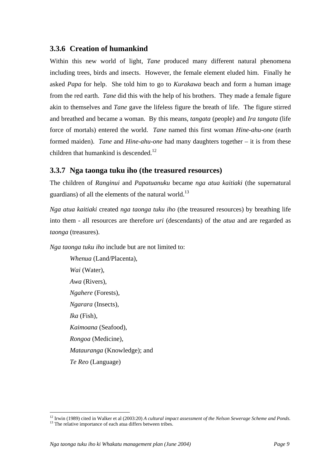## **3.3.6 Creation of humankind**

Within this new world of light, *Tane* produced many different natural phenomena including trees, birds and insects. However, the female element eluded him. Finally he asked *Papa* for help. She told him to go to *Kurakawa* beach and form a human image from the red earth. *Tane* did this with the help of his brothers. They made a female figure akin to themselves and *Tane* gave the lifeless figure the breath of life. The figure stirred and breathed and became a woman. By this means, *tangata* (people) and *Ira tangata* (life force of mortals) entered the world. *Tane* named this first woman *Hine-ahu-one* (earth formed maiden). *Tane* and *Hine-ahu-one* had many daughters together – it is from these children that humankind is descended.<sup>[12](#page-12-0)</sup>

## **3.3.7 Nga taonga tuku iho (the treasured resources)**

The children of *Ranginui* and *Papatuanuku* became *nga atua kaitiaki* (the supernatural guardians) of all the elements of the natural world.<sup>13</sup>

*Nga atua kaitiaki* created *nga taonga tuku iho* (the treasured resources) by breathing life into them - all resources are therefore *uri* (descendants) of the *atua* and are regarded as *taonga* (treasures).

*Nga taonga tuku iho* include but are not limited to:

*Whenua* (Land/Placenta), *Wai* (Water), *Awa* (Rivers), *Ngahere* (Forests), *Ngarara* (Insects), *Ika* (Fish), *Kaimoana* (Seafood), *Rongoa* (Medicine), *Matauranga* (Knowledge); and *Te Reo* (Language)

<span id="page-12-1"></span><span id="page-12-0"></span><sup>&</sup>lt;sup>12</sup> Irwin (1989) cited in Walker et al (2003:20) *A cultural impact assessment of the Nelson Sewerage Scheme and Ponds.* <sup>13</sup> The relative importance of each atua differs between tribes.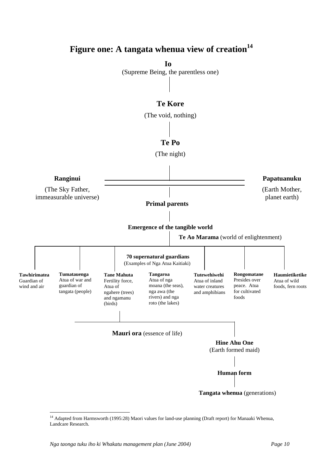## **Figure one: A tangata whenua view of creation[14](#page-13-0)**

**Io**  (Supreme Being, the parentless one)

### **Te Kore**

(The void, nothing)



<span id="page-13-0"></span><sup>&</sup>lt;sup>14</sup> Adapted from Harmsworth (1995:28) Maori values for land-use planning (Draft report) for Manaaki Whenua, Landcare Research.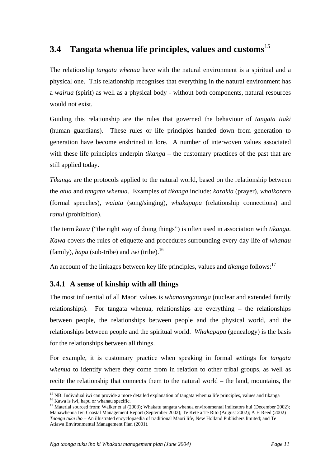## **3.4 Tangata whenua life principles, values and customs**[15](#page-14-0)

The relationship *tangata whenua* have with the natural environment is a spiritual and a physical one. This relationship recognises that everything in the natural environment has a *wairua* (spirit) as well as a physical body - without both components, natural resources would not exist.

Guiding this relationship are the rules that governed the behaviour of *tangata tiaki* (human guardians). These rules or life principles handed down from generation to generation have become enshrined in lore. A number of interwoven values associated with these life principles underpin *tikanga* – the customary practices of the past that are still applied today.

*Tikanga* are the protocols applied to the natural world, based on the relationship between the *atua* and *tangata whenua*. Examples of *tikanga* include: *karakia* (prayer), *whaikorero* (formal speeches), *waiata* (song/singing), *whakapapa* (relationship connections) and *rahui* (prohibition).

The term *kawa* ("the right way of doing things") is often used in association with *tikanga*. *Kawa* covers the rules of etiquette and procedures surrounding every day life of *whanau*  (family), *hapu* (sub-tribe) and *iwi* (tribe).[16](#page-14-1) 

An account of the linkages between key life principles, values and *tikanga* follows:<sup>17</sup>

## **3.4.1 A sense of kinship with all things**

The most influential of all Maori values is *whanaungatanga* (nuclear and extended family relationships). For tangata whenua, relationships are everything – the relationships between people, the relationships between people and the physical world, and the relationships between people and the spiritual world. *Whakapapa* (genealogy) is the basis for the relationships between all things.

For example, it is customary practice when speaking in formal settings for *tangata whenua* to identify where they come from in relation to other tribal groups, as well as recite the relationship that connects them to the natural world – the land, mountains, the

<span id="page-14-1"></span><span id="page-14-0"></span><sup>&</sup>lt;sup>15</sup> NB: Individual iwi can provide a more detailed explanation of tangata whenua life principles, values and tikanga  $^{16}$  Kawa is iwi, hapu or whanau specific.<br><sup>16</sup> Kawa is iwi, hapu or whanau specific.<br><sup>17</sup> Material s

<span id="page-14-2"></span>Manawhenua Iwi Coastal Management Report (September 2002); Te Kete a Te Rito (August 2002); A H Reed (2002) *Taonga tuku iho* – An illustrated encyclopaedia of traditional Maori life, New Holland Publishers limited; and Te Atiawa Environmental Management Plan (2001).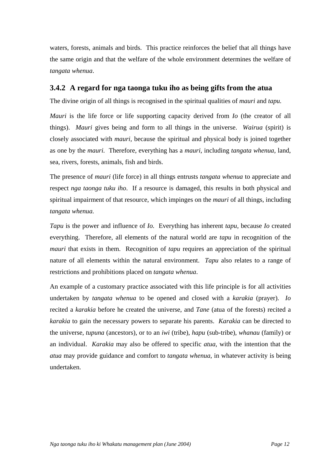waters, forests, animals and birds. This practice reinforces the belief that all things have the same origin and that the welfare of the whole environment determines the welfare of *tangata whenua*.

#### **3.4.2 A regard for nga taonga tuku iho as being gifts from the atua**

The divine origin of all things is recognised in the spiritual qualities of *mauri* and *tapu.*

*Mauri* is the life force or life supporting capacity derived from *Io* (the creator of all things). *Mauri* gives being and form to all things in the universe. *Wairua* (spirit) is closely associated with *mauri,* because the spiritual and physical body is joined together as one by the *mauri.* Therefore, everything has a *mauri,* including *tangata whenua,* land, sea, rivers, forests, animals, fish and birds.

The presence of *mauri* (life force) in all things entrusts *tangata whenua* to appreciate and respect *nga taonga tuku iho*. If a resource is damaged, this results in both physical and spiritual impairment of that resource, which impinges on the *mauri* of all things, including *tangata whenua.* 

*Tapu* is the power and influence of *Io.* Everything has inherent *tapu,* because *Io* created everything. Therefore, all elements of the natural world are *tapu* in recognition of the *mauri* that exists in them. Recognition of *tapu* requires an appreciation of the spiritual nature of all elements within the natural environment. *Tapu* also relates to a range of restrictions and prohibitions placed on *tangata whenua*.

An example of a customary practice associated with this life principle is for all activities undertaken by *tangata whenua* to be opened and closed with a *karakia* (prayer). *Io*  recited a *karakia* before he created the universe, and *Tane* (atua of the forests) recited a *karakia* to gain the necessary powers to separate his parents. *Karakia* can be directed to the universe, *tupuna* (ancestors), or to an *iwi* (tribe), *hapu* (sub-tribe), *whanau* (family) or an individual. *Karakia* may also be offered to specific *atua,* with the intention that the *atua* may provide guidance and comfort to *tangata whenua*, in whatever activity is being undertaken.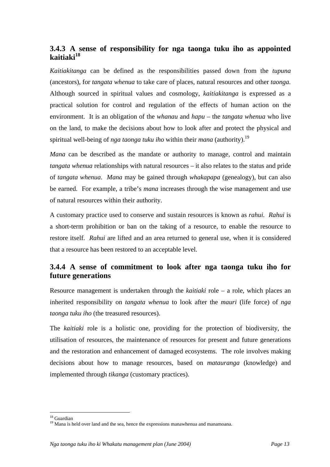## **3.4.3 A sense of responsibility for nga taonga tuku iho as appointed kaitiaki [18](#page-16-0)**

*Kaitiakitanga* can be defined as the responsibilities passed down from the *tupuna*  (ancestors), for *tangata whenua* to take care of places, natural resources and other *taonga.* Although sourced in spiritual values and cosmology, *kaitiakitanga* is expressed as a practical solution for control and regulation of the effects of human action on the environment. It is an obligation of the *whanau* and *hapu* – the *tangata whenua* who live on the land, to make the decisions about how to look after and protect the physical and spiritualwell-being of *nga taonga tuku iho* within their *mana* (authority).<sup>19</sup>

*Mana* can be described as the mandate or authority to manage, control and maintain *tangata whenua* relationships with natural resources – it also relates to the status and pride of *tangata whenua*. *Mana* may be gained through *whakapapa* (genealogy)*,* but can also be earned. For example, a tribe's *mana* increases through the wise management and use of natural resources within their authority.

A customary practice used to conserve and sustain resources is known as *rahui. Rahui* is a short-term prohibition or ban on the taking of a resource, to enable the resource to restore itself. *Rahui* are lifted and an area returned to general use, when it is considered that a resource has been restored to an acceptable level.

## **3.4.4 A sense of commitment to look after nga taonga tuku iho for future generations**

Resource management is undertaken through the *kaitiaki* role – a role, which places an inherited responsibility on *tangata whenua* to look after the *mauri* (life force) of *nga taonga tuku iho* (the treasured resources).

The *kaitiaki* role is a holistic one, providing for the protection of biodiversity, the utilisation of resources, the maintenance of resources for present and future generations and the restoration and enhancement of damaged ecosystems. The role involves making decisions about how to manage resources, based on *matauranga* (knowledge) and implemented through *tikanga* (customary practices).

<span id="page-16-0"></span><sup>18</sup> Guardian

<span id="page-16-1"></span><sup>&</sup>lt;sup>19</sup> Mana is held over land and the sea, hence the expressions manawhenua and manamoana.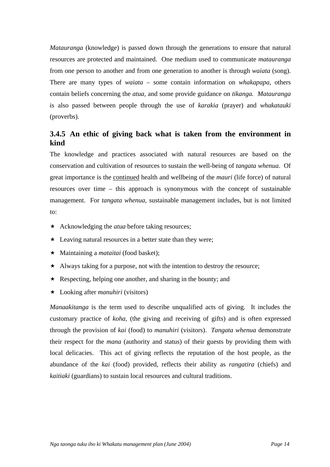*Matauranga* (knowledge) is passed down through the generations to ensure that natural resources are protected and maintained. One medium used to communicate *matauranga* from one person to another and from one generation to another is through *waiata* (song). There are many types of *waiata* – some contain information on *whakapapa,* others contain beliefs concerning the *atua,* and some provide guidance on *tikanga. Matauranga* is also passed between people through the use of *karakia* (prayer) and *whakatauki* (proverbs).

## **3.4.5 An ethic of giving back what is taken from the environment in kind**

The knowledge and practices associated with natural resources are based on the conservation and cultivation of resources to sustain the well-being of *tangata whenua*. Of great importance is the continued health and wellbeing of the *mauri* (life force) of natural resources over time – this approach is synonymous with the concept of sustainable management. For *tangata whenua,* sustainable management includes, but is not limited  $t^{\Omega}$ :

- \* Acknowledging the *atua* before taking resources;
- $\star$  Leaving natural resources in a better state than they were;
- Maintaining a *mataitai* (food basket);
- Always taking for a purpose, not with the intention to destroy the resource;
- $\star$  Respecting, helping one another, and sharing in the bounty; and
- Looking after *manuhiri* (visitors)

*Manaakitanga* is the term used to describe unqualified acts of giving. It includes the customary practice of *koha,* (the giving and receiving of gifts) and is often expressed through the provision of *kai* (food) to *manuhiri* (visitors). *Tangata whenua* demonstrate their respect for the *mana* (authority and status) of their guests by providing them with local delicacies. This act of giving reflects the reputation of the host people, as the abundance of the *kai* (food) provided, reflects their ability as *rangatira* (chiefs) and *kaitiaki* (guardians) to sustain local resources and cultural traditions.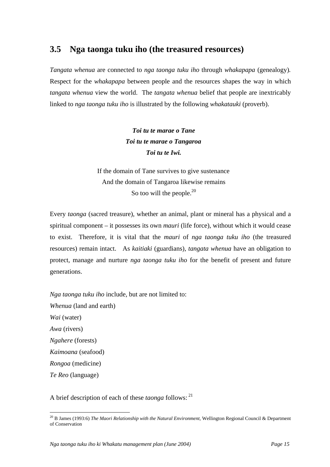## **3.5 Nga taonga tuku iho (the treasured resources)**

*Tangata whenua* are connected to *nga taonga tuku iho* through *whakapapa* (genealogy)*.* Respect for the *whakapapa* between people and the resources shapes the way in which *tangata whenua* view the world. The *tangata whenua* belief that people are inextricably linked to *nga taonga tuku iho* is illustrated by the following *whakatauki* (proverb).

> *Toi tu te marae o Tane Toi tu te marae o Tangaroa Toi tu te Iwi.*

If the domain of Tane survives to give sustenance And the domain of Tangaroa likewise remains So too will the people. $^{20}$ 

Every *taonga* (sacred treasure), whether an animal, plant or mineral has a physical and a spiritual component – it possesses its own *mauri* (life force), without which it would cease to exist. Therefore, it is vital that the *mauri* of *nga taonga tuku iho* (the treasured resources) remain intact. As *kaitiaki* (guardians)*, tangata whenua* have an obligation to protect, manage and nurture *nga taonga tuku iho* for the benefit of present and future generations.

*Nga taonga tuku iho* include, but are not limited to: *Whenua* (land and earth) *Wai* (water) *Awa* (rivers) *Ngahere* (forests) *Kaimoana* (seafood) *Rongoa* (medicine) *Te Reo* (language)

A brief description of each of these *taonga* follows: [21](#page-18-1)

<span id="page-18-1"></span><span id="page-18-0"></span><sup>20</sup> B James (1993:6) *The Maori Relationship with the Natural Environment*, Wellington Regional Council & Department of Conservation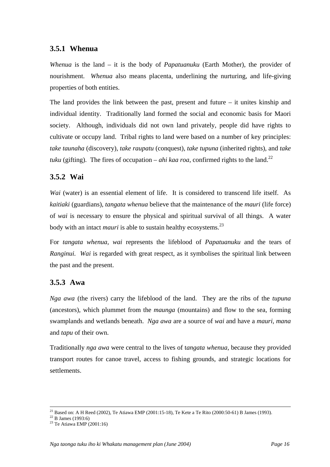## **3.5.1 Whenua**

*Whenua* is the land – it is the body of *Papatuanuku* (Earth Mother), the provider of nourishment. *Whenua* also means placenta, underlining the nurturing, and life-giving properties of both entities.

The land provides the link between the past, present and future – it unites kinship and individual identity. Traditionally land formed the social and economic basis for Maori society. Although, individuals did not own land privately, people did have rights to cultivate or occupy land. Tribal rights to land were based on a number of key principles: *take taunaha* (discovery), *take raupatu* (conquest), *take tupuna* (inherited rights), and *take tuku* (gifting). The fires of occupation – *ahi kaa roa*, confirmed rights to the land.<sup>[22](#page-19-0)</sup>

## **3.5.2 Wai**

*Wai* (water) is an essential element of life. It is considered to transcend life itself. As *kaitiaki* (guardians), *tangata whenua* believe that the maintenance of the *mauri* (life force) of *wai* is necessary to ensure the physical and spiritual survival of all things. A water body with an intact *mauri* is able to sustain healthy ecosystems.<sup>[23](#page-19-1)</sup>

For *tangata whenua, wai* represents the lifeblood of *Papatuanuku* and the tears of *Ranginui. Wai* is regarded with great respect, as it symbolises the spiritual link between the past and the present.

### **3.5.3 Awa**

*Nga awa* (the rivers) carry the lifeblood of the land. They are the ribs of the *tupuna*  (ancestors), which plummet from the *maunga* (mountains) and flow to the sea, forming swamplands and wetlands beneath. *Nga awa* are a source of *wai* and have a *mauri, mana* and *tapu* of their own.

Traditionally *nga awa* were central to the lives of t*angata whenua,* because they provided transport routes for canoe travel, access to fishing grounds, and strategic locations for settlements.

<sup>&</sup>lt;sup>21</sup> Based on: A H Reed (2002), Te Atiawa EMP (2001:15-18), Te Kete a Te Rito (2000:50-61) B James (1993). <sup>22</sup> B James (1993:6)

<span id="page-19-0"></span>

<span id="page-19-1"></span> $23$  Te Atiawa EMP (2001:16)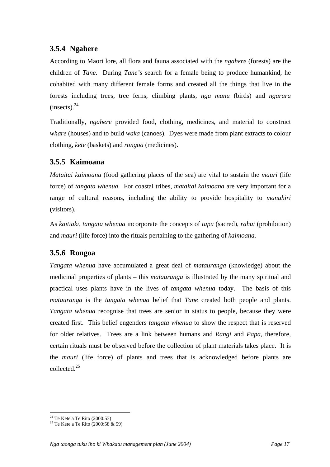## **3.5.4 Ngahere**

According to Maori lore, all flora and fauna associated with the *ngahere* (forests) are the children of *Tane.* During *Tane's* search for a female being to produce humankind, he cohabited with many different female forms and created all the things that live in the forests including trees, tree ferns, climbing plants, *nga manu* (birds) and *ngarara*   $(insects).<sup>24</sup>$  $(insects).<sup>24</sup>$  $(insects).<sup>24</sup>$ 

Traditionally, *ngahere* provided food, clothing, medicines, and material to construct *whare* (houses) and to build *waka* (canoes). Dyes were made from plant extracts to colour clothing, *kete* (baskets) and *rongoa* (medicines).

## **3.5.5 Kaimoana**

*Mataitai kaimoana* (food gathering places of the sea) are vital to sustain the *mauri* (life force) of *tangata whenua.* For coastal tribes, *mataitai kaimoana* are very important for a range of cultural reasons, including the ability to provide hospitality to *manuhiri* (visitors).

As *kaitiaki, tangata whenua* incorporate the concepts of *tapu* (sacred), *rahui* (prohibition) and *mauri* (life force) into the rituals pertaining to the gathering of *kaimoana.*

## **3.5.6 Rongoa**

*Tangata whenua* have accumulated a great deal of *matauranga* (knowledge) about the medicinal properties of plants – this *matauranga* is illustrated by the many spiritual and practical uses plants have in the lives of *tangata whenua* today. The basis of this *matauranga* is the *tangata whenua* belief that *Tane* created both people and plants. *Tangata whenua* recognise that trees are senior in status to people, because they were created first. This belief engenders *tangata whenua* to show the respect that is reserved for older relatives. Trees are a link between humans and *Rangi* and *Papa,* therefore, certain rituals must be observed before the collection of plant materials takes place. It is the *mauri* (life force) of plants and trees that is acknowledged before plants are collected.[25](#page-20-1) 

<span id="page-20-0"></span><sup>&</sup>lt;sup>24</sup> Te Kete a Te Rito (2000:53)

<span id="page-20-1"></span><sup>&</sup>lt;sup>25</sup> Te Kete a Te Rito (2000:58  $\&$  59)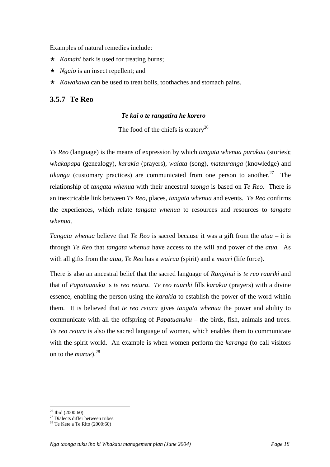Examples of natural remedies include:

- ★ *Kamahi* bark is used for treating burns;
- ★ *Ngaio* is an insect repellent; and
- ★ *Kawakawa* can be used to treat boils, toothaches and stomach pains.

#### **3.5.7 Te Reo**

#### *Te kai o te rangatira he korero*

The food of the chiefs is oratory<sup>26</sup>

*Te Reo* (language) is the means of expression by which *tangata whenua purakau* (stories); *whakapapa* (genealogy), *karakia* (prayers), *waiata* (song), *matauranga* (knowledge) and *tikanga* (customary practices) are communicated from one person to another.<sup>27</sup> The relationship of *tangata whenua* with their ancestral *taonga* is based on *Te Reo*. There is an inextricable link between *Te Reo,* places, *tangata whenua* and events. *Te Reo* confirms the experiences, which relate *tangata whenua* to resources and resources to *tangata whenua*.

*Tangata whenua* believe that *Te Reo* is sacred because it was a gift from the *atua* – it is through *Te Reo* that *tangata whenua* have access to the will and power of the *atua.* As with all gifts from the *atua, Te Reo* has a *wairua* (spirit) and a *mauri* (life force).

There is also an ancestral belief that the sacred language of *Ranginui* is *te reo rauriki* and that of *Papatuanuku* is *te reo reiuru*. *Te reo rauriki* fills *karakia* (prayers) with a divine essence, enabling the person using the *karakia* to establish the power of the word within them. It is believed that *te reo reiuru* gives *tangata whenua* the power and ability to communicate with all the offspring of *Papatuanuku* – the birds, fish, animals and trees. *Te reo reiuru* is also the sacred language of women, which enables them to communicate with the spirit world. An example is when women perform the *karanga* (to call visitors on to the *marae*).<sup>[28](#page-21-2)</sup>

 $\overline{a}$ 

<span id="page-21-1"></span><span id="page-21-0"></span><sup>&</sup>lt;sup>26</sup> Ibid (2000:60)<br><sup>27</sup> Dialects differ between tribes.<br><sup>28</sup> Te Kete a Te Rito (2000:60)

<span id="page-21-2"></span>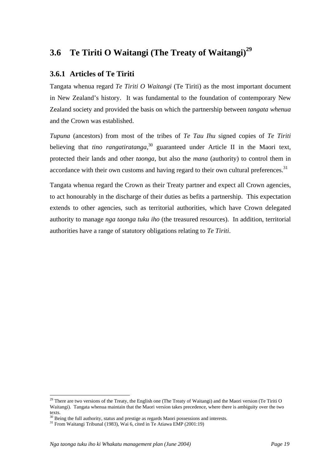## **3.6 Te Tiriti O Waitangi (The Treaty of Waitangi)[29](#page-22-0)**

## **3.6.1 Articles of Te Tiriti**

Tangata whenua regard *Te Tiriti O Waitangi* (Te Tiriti) as the most important document in New Zealand's history. It was fundamental to the foundation of contemporary New Zealand society and provided the basis on which the partnership between *tangata whenua* and the Crown was established.

*Tupuna* (ancestors) from most of the tribes of *Te Tau Ihu* signed copies of *Te Tiriti* believing that *tino rangatiratanga*, [30](#page-22-1) guaranteed under Article II in the Maori text, protected their lands and other *taonga,* but also the *mana* (authority) to control them in accordance with their own customs and having regard to their own cultural preferences.<sup>[31](#page-22-2)</sup>

Tangata whenua regard the Crown as their Treaty partner and expect all Crown agencies, to act honourably in the discharge of their duties as befits a partnership. This expectation extends to other agencies, such as territorial authorities, which have Crown delegated authority to manage *nga taonga tuku iho* (the treasured resources). In addition, territorial authorities have a range of statutory obligations relating to *Te Tiriti*.

<span id="page-22-0"></span> $^{29}$  There are two versions of the Treaty, the English one (The Treaty of Waitangi) and the Maori version (Te Tiriti O Waitangi). Tangata whenua maintain that the Maori version takes precedence, where there is ambiguity over the two texts.

<span id="page-22-1"></span><sup>&</sup>lt;sup>30</sup> Being the full authority, status and prestige as regards Maori possessions and interests.<br><sup>31</sup> From Waitangi Tribunal (1983), Wai 6, cited in Te Atiawa EMP (2001:19)

<span id="page-22-2"></span>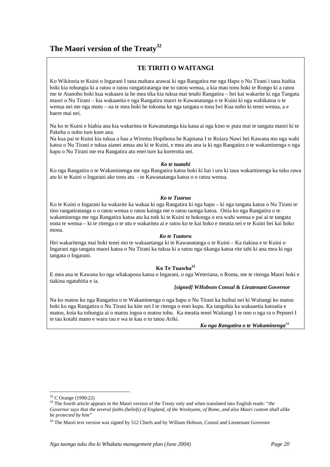## **The Maori version of the Treaty[32](#page-23-0)**

#### **TE TIRITI O WAITANGI**

Ko Wikitoria te Kuini o Ingarani I tana mahara arawai ki nga Rangatira me nga Hapu o Nu Tirani i tana hiahia hoki kia tohungia ki a ratou o ratou rangatiratanga me to ratou wenua, a kia mau tonu hoki te Rongo ki a ratou me te Atanoho hoki kua wakaaro ia he mea tika kia tukua mai tetahi Rangatira – hei kai wakarite ki nga Tangata maori o Nu Tirani – kia wakaaetia e nga Rangatira maori te Kawanatanga o te Kuini ki nga wahikatoa o te wenua nei me nga motu – na te mea hoki he tokoma ke nga tangata o tona Iwi Kua noho ki tenei wenua, a e haere mai nei.

Na ko te Kuini e hiahia ana kia wakaritea te Kawanatanga kia kaua ai nga kino w puta mai te tangata maori ki te Pakeha o noho ture kore ana.

Na kua pai te Kuini kia tukua a hau a Wiremu Hopihona he Kapitana I te Roiara Nawi hei Kawana mo nga wahi katoa o Nu Tirani e tukua aianei amua atu ki te Kuini, e mea atu ana ia ki nga Rangatira o te wakaminenga o nga hapu o Nu Tirani me era Rangatira atu enei ture ka korerotia nei.

#### *Ko te tuatahi*

Ko nga Rangatira o te Wakaminenga me nga Rangatira katoa hoki ki hai i uru ki taua wakaminenga ka tuku rawa atu ki te Kuini o Ingarani ake tonu atu - te Kawanatanga katoa o o ratou wenua.

#### *Ko te Tuarua*

Ko te Kuini o Ingarani ka wakarite ka wakaa ki nga Rangatira ki nga hapu – ki nga tangata katoa o Nu Tirani te tino rangatiratanga o o ratou wenua o ratou kainga me o ratou taonga katoa. Otiia ko nga Rangatira o te wakaminenga me nga Rangatira katoa atu ka tutk ki te Kuini te hokonga o era wahi wenua e pai ai te tangata nona te wenua – ki te ritenga o te utu e wakaritea ai e ratou ko te kai hoko e meatia nei e te Kuini hei kai hoko mona.

#### *Ko te Tuatoru*

Hei wakaritenga mai hoki tenei mo te wakaaetanga ki te Kawanatanga o te Kuini – Ka tiakina e te Kuini o Ingarani nga tangata maori katoa o Nu Tirani ka tukua ki a ratou nga tikanga katoa rite tahi ki ana mea ki nga tangata o Ingarani.

#### **Ko Te Tuawh[a33](#page-23-1)**

E mea ana te Kawana ko nga whakapona katoa o Ingarani, o nga Weteriana, o Roma, me te ritenga Maori hoki e tiakina ngatahitia e ia.

#### *[signed] WHobson Consul & Lieutenant Governor*

Na ko matou ko nga Rangatira o te Wakaminenga o nga hapu o Nu Tirani ka huihui nei ki Waitangi ko matou hoki ko nga Rangatira o Nu Tirani ka kite nei I te ritenga o enei kupu. Ka tangohia ka wakaaetia katoatia e matou, koia ka tohungia ai o matou ingoa o matou tohu. Ka meatia tenei Waitangi I te ono o nga ra o Pepueri I te tau kotahi mano e waru rau e wa te kau o to tatou Ariki.

*Ko nga Rangatira o te Wakaminenga[34](#page-23-2)*

<span id="page-23-0"></span><sup>&</sup>lt;sup>32</sup> C Orange (1990:22)

<span id="page-23-1"></span><sup>&</sup>lt;sup>33</sup> The fourth article appears in the Maori version of the Treaty only and when translated into English reads: "*the Governor says that the several faiths (beliefs) of England, of the Wesleyans, of Rome, and also Maori custom shall alike be protected by him"*

<span id="page-23-2"></span><sup>&</sup>lt;sup>34</sup> The Maori text version was signed by 512 Chiefs and by William Hobson, Consul and Lieutenant Governor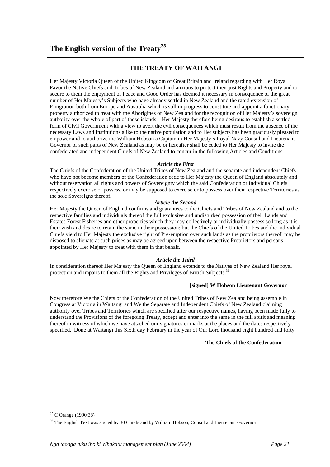#### **THE TREATY OF WAITANGI**

Her Majesty Victoria Queen of the United Kingdom of Great Britain and Ireland regarding with Her Royal Favor the Native Chiefs and Tribes of New Zealand and anxious to protect their just Rights and Property and to secure to them the enjoyment of Peace and Good Order has deemed it necessary in consequence of the great number of Her Majesty's Subjects who have already settled in New Zealand and the rapid extension of Emigration both from Europe and Australia which is still in progress to constitute and appoint a functionary property authorized to treat with the Aborigines of New Zealand for the recognition of Her Majesty's sovereign authority over the whole of part of those islands – Her Majesty therefore being desirous to establish a settled form of Civil Government with a view to avert the evil consequences which must result from the absence of the necessary Laws and Institutions alike to the native population and to Her subjects has been graciously pleased to empower and to authorize me William Hobson a Captain in Her Majesty's Royal Navy Consul and Lieutenant Governor of such parts of New Zealand as may be or hereafter shall be ceded to Her Majesty to invite the confederated and independent Chiefs of New Zealand to concur in the following Articles and Conditions.

#### *Article the First*

The Chiefs of the Confederation of the United Tribes of New Zealand and the separate and independent Chiefs who have not become members of the Confederation cede to Her Majesty the Queen of England absolutely and without reservation all rights and powers of Sovereignty which the said Confederation or Individual Chiefs respectively exercise or possess, or may be supposed to exercise or to possess over their respective Territories as the sole Sovereigns thereof.

#### *Article the Second*

Her Majesty the Queen of England confirms and guarantees to the Chiefs and Tribes of New Zealand and to the respective families and individuals thereof the full exclusive and undisturbed possession of their Lands and Estates Forest Fisheries and other properties which they may collectively or individually possess so long as it is their wish and desire to retain the same in their possession; but the Chiefs of the United Tribes and the individual Chiefs yield to Her Majesty the exclusive right of Pre-emption over such lands as the proprietors thereof may be disposed to alienate at such prices as may be agreed upon between the respective Proprietors and persons appointed by Her Majesty to treat with them in that behalf.

#### *Article the Third*

In consideration thereof Her Majesty the Queen of England extends to the Natives of New Zealand Her royal protection and imparts to them all the Rights and Privileges of British Subjects.<sup>36</sup>

#### **[signed] W Hobson Lieutenant Governor**

Now therefore We the Chiefs of the Confederation of the United Tribes of New Zealand being assemble in Congress at Victoria in Waitangi and We the Separate and Independent Chiefs of New Zealand claiming authority over Tribes and Territories which are specified after our respective names, having been made fully to understand the Provisions of the foregoing Treaty, accept and enter into the same in the full spirit and meaning thereof in witness of which we have attached our signatures or marks at the places and the dates respectively specified. Done at Waitangi this Sixth day February in the year of Our Lord thousand eight hundred and forty.

#### **The Chiefs of the Confederation**

<span id="page-24-0"></span><sup>35</sup> C Orange (1990:38)

<span id="page-24-1"></span><sup>&</sup>lt;sup>36</sup> The English Text was signed by 30 Chiefs and by William Hobson, Consul and Lieutenant Governor.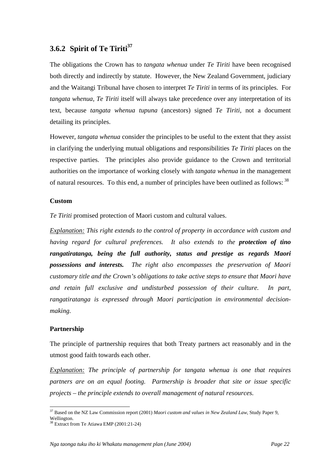## **3.6.2 Spirit of Te Tiriti[37](#page-25-0)**

The obligations the Crown has to *tangata whenua* under *Te Tiriti* have been recognised both directly and indirectly by statute. However, the New Zealand Government, judiciary and the Waitangi Tribunal have chosen to interpret *Te Tiriti* in terms of its principles. For *tangata whenua, Te Tiriti* itself will always take precedence over any interpretation of its text, because *tangata whenua tupuna* (ancestors) signed *Te Tiriti*, not a document detailing its principles.

However, *tangata whenua* consider the principles to be useful to the extent that they assist in clarifying the underlying mutual obligations and responsibilities *Te Tiriti* places on the respective parties. The principles also provide guidance to the Crown and territorial authorities on the importance of working closely with *tangata whenua* in the management of natural resources. To this end, a number of principles have been outlined as follows: <sup>38</sup>

#### **Custom**

*Te Tiriti* promised protection of Maori custom and cultural values.

*Explanation: This right extends to the control of property in accordance with custom and having regard for cultural preferences. It also extends to the protection of tino rangatiratanga, being the full authority, status and prestige as regards Maori possessions and interests. The right also encompasses the preservation of Maori customary title and the Crown's obligations to take active steps to ensure that Maori have and retain full exclusive and undisturbed possession of their culture. In part, rangatiratanga is expressed through Maori participation in environmental decisionmaking.* 

#### **Partnership**

The principle of partnership requires that both Treaty partners act reasonably and in the utmost good faith towards each other.

*Explanation: The principle of partnership for tangata whenua is one that requires partners are on an equal footing. Partnership is broader that site or issue specific projects – the principle extends to overall management of natural resources.* 

<span id="page-25-0"></span> $\overline{a}$ 37 Based on the NZ Law Commission report (2001) *Maori custom and values in New Zealand Law*, Study Paper 9, Wellington.<br><sup>38</sup> Extract from Te Atiawa EMP (2001:21-24)

<span id="page-25-1"></span>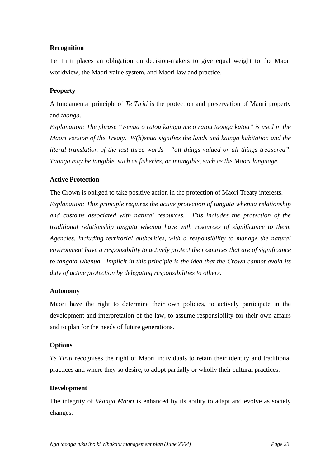#### **Recognition**

Te Tiriti places an obligation on decision-makers to give equal weight to the Maori worldview, the Maori value system, and Maori law and practice.

#### **Property**

A fundamental principle of *Te Tiriti* is the protection and preservation of Maori property and *taonga.*

*Explanation: The phrase "wenua o ratou kainga me o ratou taonga katoa" is used in the Maori version of the Treaty. W(h)enua signifies the lands and kainga habitation and the literal translation of the last three words - "all things valued or all things treasured". Taonga may be tangible, such as fisheries, or intangible, such as the Maori language.* 

#### **Active Protection**

The Crown is obliged to take positive action in the protection of Maori Treaty interests.

*Explanation: This principle requires the active protection of tangata whenua relationship and customs associated with natural resources. This includes the protection of the traditional relationship tangata whenua have with resources of significance to them. Agencies, including territorial authorities, with a responsibility to manage the natural environment have a responsibility to actively protect the resources that are of significance to tangata whenua. Implicit in this principle is the idea that the Crown cannot avoid its duty of active protection by delegating responsibilities to others.* 

#### **Autonomy**

Maori have the right to determine their own policies, to actively participate in the development and interpretation of the law, to assume responsibility for their own affairs and to plan for the needs of future generations.

#### **Options**

*Te Tiriti* recognises the right of Maori individuals to retain their identity and traditional practices and where they so desire, to adopt partially or wholly their cultural practices.

#### **Development**

The integrity of *tikanga Maori* is enhanced by its ability to adapt and evolve as society changes.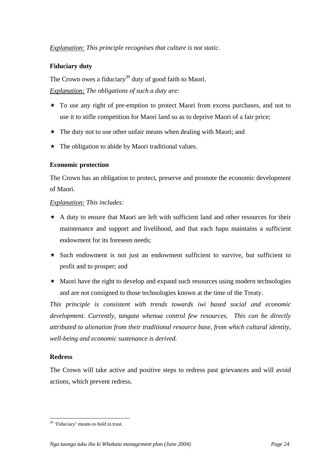#### *Explanation: This principle recognises that culture is not static.*

#### **Fiduciary duty**

The Crown owes a fiduciary<sup>39</sup> duty of good faith to Maori. *Explanation: The obligations of such a duty are:* 

- \* To use any right of pre-emption to protect Maori from excess purchases, and not to use it to stifle competition for Maori land so as to deprive Maori of a fair price;
- $\star$  The duty not to use other unfair means when dealing with Maori; and
- $\star$  The obligation to abide by Maori traditional values.

#### **Economic protection**

The Crown has an obligation to protect, preserve and promote the economic development of Maori.

#### *Explanation: This includes:*

- $\star$  A duty to ensure that Maori are left with sufficient land and other resources for their maintenance and support and livelihood, and that each hapu maintains a sufficient endowment for its foreseen needs;
- $\star$  Such endowment is not just an endowment sufficient to survive, but sufficient to profit and to prosper; and
- $\star$  Maori have the right to develop and expand such resources using modern technologies and are not consigned to those technologies known at the time of the Treaty.

*This principle is consistent with trends towards iwi based social and economic development. Currently, tangata whenua control few resources. This can be directly attributed to alienation from their traditional resource base, from which cultural identity, well-being and economic sustenance is derived.* 

#### **Redress**

 $\overline{a}$ 

The Crown will take active and positive steps to redress past grievances and will avoid actions, which prevent redress.

<span id="page-27-0"></span><sup>&</sup>lt;sup>39</sup> 'Fiduciary' means to hold in trust.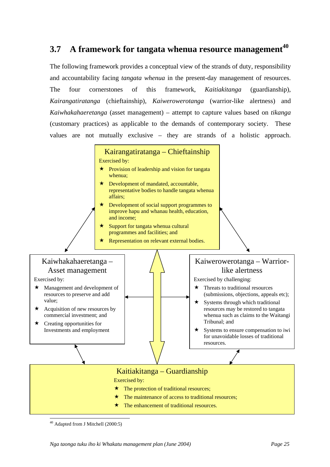## **3.7 A framework for tangata whenua resource management[40](#page-28-0)**

The following framework provides a conceptual view of the strands of duty, responsibility and accountability facing *tangata whenua* in the present-day management of resources. The four cornerstones of this framework, *Kaitiakitanga* (guardianship), *Kairangatiratanga* (chieftainship), *Kaiwerowerotanga* (warrior-like alertness) and *Kaiwhakahaeretanga* (asset management) – attempt to capture values based on *tikanga*  (customary practices) as applicable to the demands of contemporary society. These values are not mutually exclusive – they are strands of a holistic approach.



<span id="page-28-0"></span>I 40 Adapted from J Mitchell (2000:5)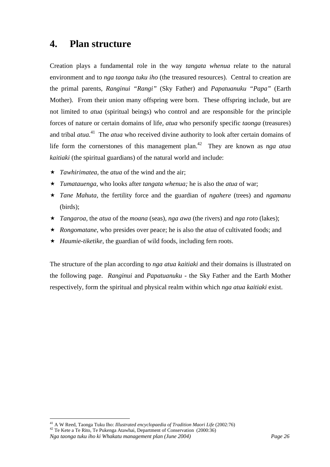## **4. Plan structure**

Creation plays a fundamental role in the way *tangata whenua* relate to the natural environment and to *nga taonga tuku iho* (the treasured resources). Central to creation are the primal parents, *Ranginui "Rangi"* (Sky Father) and *Papatuanuku "Papa"* (Earth Mother). From their union many offspring were born. These offspring include, but are not limited to *atua* (spiritual beings) who control and are responsible for the principle forces of nature or certain domains of life, *atua* who personify specific *taonga* (treasures) and tribal *atua.*<sup>41</sup>The *atua* who received divine authority to look after certain domains of life form the [cor](#page-29-0)nerstones of this management plan.<sup>42</sup> They are known as *nga atua kaitiaki* (the spiritual guardians) of the natural world an[d i](#page-29-1)nclude:

- *Tawhirimatea,* the *atua* of the wind and the air;
- *Tumatauenga,* who looks after *tangata whenua;* he is also the *atua* of war;
- *Tane Mahuta,* the fertility force and the guardian of *ngahere* (trees) and *ngamanu*  (birds);
- *Tangaroa,* the *atua* of the *moana* (seas), *nga awa* (the rivers) and *nga roto* (lakes);
- *Rongomatane*, who presides over peace; he is also the *atua* of cultivated foods; and
- ★ *Haumie-tiketike*, the guardian of wild foods, including fern roots.

The structure of the plan according to *nga atua kaitiaki* and their domains is illustrated on the following page. *Ranginui* and *Papatuanuku* - the Sky Father and the Earth Mother respectively, form the spiritual and physical realm within which *nga atua kaitiaki* exist.

<span id="page-29-1"></span><span id="page-29-0"></span>*Nga taonga tuku iho ki Whakatu management plan (June 2004) Page 26*  <sup>41</sup> A W Reed, Taonga Tuku Iho: *Illustrated encyclopaedia of Tradition Maori Life* (2002:76) <sup>42</sup> Te Kete a Te Rito, Te Pukenga Atawhai, Department of Conservation (2000:36)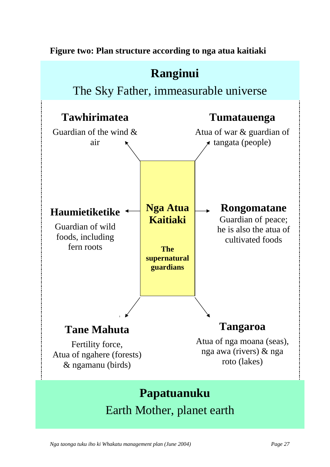**Figure two: Plan structure according to nga atua kaitiaki** 



*Nga taonga tuku iho ki Whakatu management plan (June 2004) Page 27*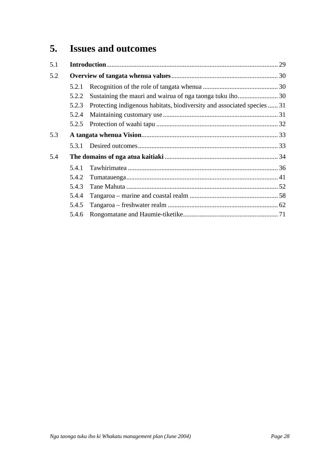## **5. Issues and outcomes**

| 5.1 |       |                                                                         |  |
|-----|-------|-------------------------------------------------------------------------|--|
| 5.2 |       |                                                                         |  |
|     | 5.2.1 |                                                                         |  |
|     | 5.2.2 |                                                                         |  |
|     | 5.2.3 | Protecting indigenous habitats, biodiversity and associated species  31 |  |
|     | 5.2.4 |                                                                         |  |
|     | 5.2.5 |                                                                         |  |
| 5.3 |       |                                                                         |  |
|     | 5.3.1 |                                                                         |  |
| 5.4 |       |                                                                         |  |
|     | 5.4.1 |                                                                         |  |
|     | 5.4.2 |                                                                         |  |
|     | 5.4.3 |                                                                         |  |
|     | 5.4.4 |                                                                         |  |
|     | 5.4.5 |                                                                         |  |
|     | 5.4.6 |                                                                         |  |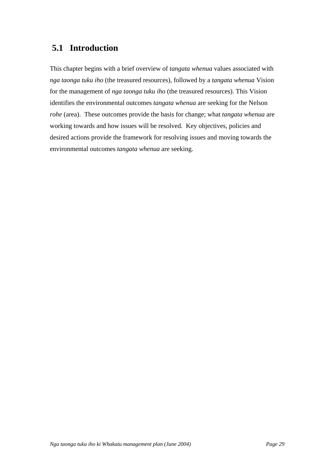## **5.1 Introduction**

This chapter begins with a brief overview of *tangata whenua* values associated with *nga taonga tuku iho* (the treasured resources), followed by a *tangata whenua* Vision for the management of *nga taonga tuku iho* (the treasured resources). This Vision identifies the environmental outcomes *tangata whenua* are seeking for the Nelson *rohe* (area). These outcomes provide the basis for change; what *tangata whenua* are working towards and how issues will be resolved. Key objectives, policies and desired actions provide the framework for resolving issues and moving towards the environmental outcomes *tangata whenua* are seeking.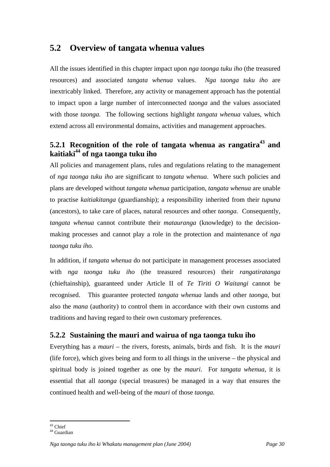## **5.2 Overview of tangata whenua values**

All the issues identified in this chapter impact upon *nga taonga tuku iho* (the treasured resources) and associated *tangata whenua* values. *Nga taonga tuku iho* are inextricably linked. Therefore, any activity or management approach has the potential to impact upon a large number of interconnected *taonga* and the values associated with those *taonga.* The following sections highlight *tangata whenua* values, which extend across all environmental domains, activities and management approaches.

## **5.2.1 Recognition of the role of tangata whenua as rangatira43and kaitiaki 44of nga taonga tuku iho**

All policies and management plans, rules and regulations relating to the management of *nga taonga tuku iho* are significant to *tangata whenua*. Where such policies and plans are developed without *tangata whenua* participation, *tangata whenua* are unable to practise *kaitiakitanga* (guardianship); a responsibility inherited from their *tupuna*  (ancestors), to take care of places, natural resources and other *taonga.* Consequently, *tangata whenua* cannot contribute their *matauranga* (knowledge) to the decisionmaking processes and cannot play a role in the protection and maintenance of *nga taonga tuku iho.*

In addition, if *tangata whenua* do not participate in management processes associated with *nga taonga tuku iho* (the treasured resources) their *rangatiratanga* (chieftainship), guaranteed under Article II of *Te Tiriti O Waitangi* cannot be recognised. This guarantee protected *tangata whenua* lands and other *taonga,* but also the *mana* (authority) to control them in accordance with their own customs and traditions and having regard to their own customary preferences.

## **5.2.2 Sustaining the mauri and wairua of nga taonga tuku iho**

Everything has a *mauri* – the rivers, forests, animals, birds and fish. It is the *mauri*  (life force), which gives being and form to all things in the universe – the physical and spiritual body is joined together as one by the *mauri*. For *tangata whenua*, it is essential that all *taonga* (special treasures) be managed in a way that ensures the continued health and well-being of the *mauri* of those *taonga.*

 $\overline{a}$ 43 Chief

<span id="page-33-1"></span><span id="page-33-0"></span> $44$  Guardian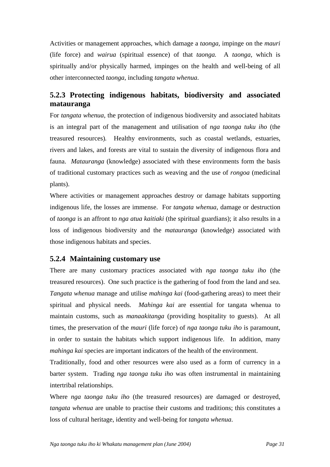Activities or management approaches, which damage a *taonga,* impinge on the *mauri* (life force) and *wairua* (spiritual essence) of that *taonga.* A *taonga*, which is spiritually and/or physically harmed, impinges on the health and well-being of all other interconnected *taonga,* including *tangata whenua*.

## **5.2.3 Protecting indigenous habitats, biodiversity and associated matauranga**

For *tangata whenua*, the protection of indigenous biodiversity and associated habitats is an integral part of the management and utilisation of *nga taonga tuku iho* (the treasured resources)*.* Healthy environments, such as coastal wetlands, estuaries, rivers and lakes, and forests are vital to sustain the diversity of indigenous flora and fauna. *Matauranga* (knowledge) associated with these environments form the basis of traditional customary practices such as weaving and the use of *rongoa* (medicinal plants).

Where activities or management approaches destroy or damage habitats supporting indigenous life, the losses are immense. For *tangata whenua*, damage or destruction of *taonga* is an affront to *nga atua kaitiaki* (the spiritual guardians); it also results in a loss of indigenous biodiversity and the *matauranga* (knowledge) associated with those indigenous habitats and species.

### **5.2.4 Maintaining customary use**

There are many customary practices associated with *nga taonga tuku iho* (the treasured resources). One such practice is the gathering of food from the land and sea. *Tangata whenua* manage and utilise *mahinga kai* (food-gathering areas) to meet their spiritual and physical needs. *Mahinga kai* are essential for tangata whenua to maintain customs, such as *manaakitanga* (providing hospitality to guests). At all times, the preservation of the *mauri* (life force) of *nga taonga tuku iho* is paramount, in order to sustain the habitats which support indigenous life. In addition, many *mahinga kai* species are important indicators of the health of the environment.

Traditionally, food and other resources were also used as a form of currency in a barter system. Trading *nga taonga tuku iho* was often instrumental in maintaining intertribal relationships.

Where *nga taonga tuku iho* (the treasured resources) are damaged or destroyed, *tangata whenua* are unable to practise their customs and traditions; this constitutes a loss of cultural heritage, identity and well-being for *tangata whenua*.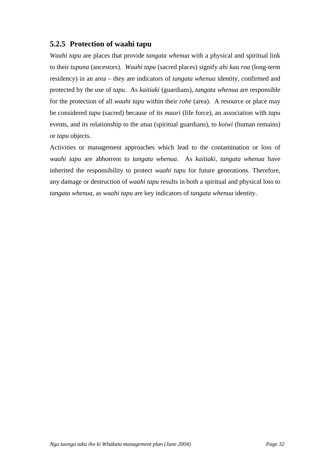## **5.2.5 Protection of waahi tapu**

*Waahi tapu* are places that provide *tangata whenua* with a physical and spiritual link to their *tupuna* (ancestors). *Waahi tapu* (sacred places) signify *ahi kaa roa* (long-term residency) in an area – they are indicators of *tangata whenua* identity, confirmed and protected by the use of *tapu*. As *kaitiaki* (guardians), *tangata whenua* are responsible for the protection of all *waahi tapu* within their *rohe* (area). A resource or place may be considered *tapu* (sacred) because of its *mauri* (life force), an association with *tapu* events, and its relationship to the *atua* (spiritual guardians), to *koiwi* (human remains) or *tapu* objects.

Activities or management approaches which lead to the contamination or loss of *waahi tapu* are abhorrent to *tangata whenua*. As *kaitiaki, tangata whenua* have inherited the responsibility to protect *waahi tapu* for future generations. Therefore, any damage or destruction of *waahi tapu* results in both a spiritual and physical loss to *tangata whenua*, as *waahi tapu* are key indicators of *tangata whenua* identity.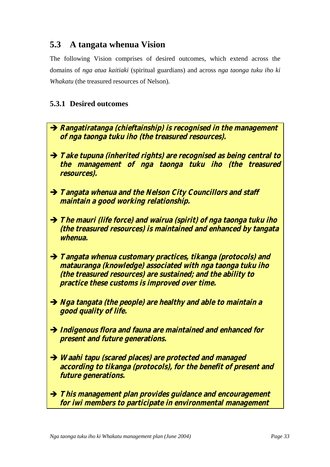# **5.3 A tangata whenua Vision**

The following Vision comprises of desired outcomes, which extend across the domains of *nga atua kaitiaki* (spiritual guardians) and across *nga taonga tuku iho ki Whakatu* (the treasured resources of Nelson)*.*

## **5.3.1 Desired outcomes**

- $\rightarrow$  **Rangatiratanga (chieftainship) is recognised in the management of nga taonga tuku iho (the treasured resources).**
- $\rightarrow$  **Take tupuna (inherited rights) are recognised as being central to the management of nga taonga tuku iho (the treasured resources).**
- $\rightarrow$  **Tangata whenua and the Nelson City Councillors and staff maintain a good working relationship.**
- $\rightarrow$  The mauri (life force) and wairua (spirit) of nga taonga tuku iho **(the treasured resources) is maintained and enhanced by tangata whenua.**
- $\rightarrow$  **Tangata whenua customary practices, tikanga (protocols) and matauranga (knowledge) associated with nga taonga tuku iho (the treasured resources) are sustained; and the ability to practice these customs is improved over time.**
- $\rightarrow$  *Nga tangata (the people) are healthy and able to maintain a* **good quality of life.**
- Î **Indigenous flora and fauna are maintained and enhanced for present and future generations.**
- $\rightarrow$  **Waahi tapu (scared places) are protected and managed according to tikanga (protocols), for the benefit of present and future generations.**
- $\rightarrow$  This management plan provides guidance and encouragement **for iwi members to participate in environmental management**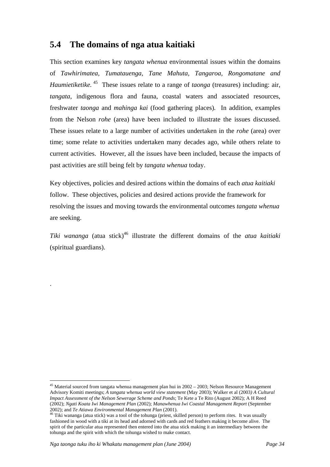# **5.4 The domains of nga atua kaitiaki**

This section examines key *tangata whenua* environmental issues within the domains of *Tawhirimatea, Tumatauenga, Tane Mahuta, Tangaroa, Rongomatane and Haumietiketike.* [45](#page-37-0) These issues relate to a range of *taonga* (treasures) including: air, *tangata*, indigenous flora and fauna, coastal waters and associated resources, freshwater *taonga* and *mahinga kai* (food gathering places)*.* In addition, examples from the Nelson *rohe* (area) have been included to illustrate the issues discussed. These issues relate to a large number of activities undertaken in the *rohe* (area) over time; some relate to activities undertaken many decades ago, while others relate to current activities. However, all the issues have been included, because the impacts of past activities are still being felt by *tangata whenua* today.

Key objectives, policies and desired actions within the domains of each *atua kaitiaki* follow. These objectives, policies and desired actions provide the framework for resolving the issues and moving towards the environmental outcomes *tangata whenua* are seeking.

*Tiki wananga* (atua stick)<sup>46</sup> illustrate the different domains of the *atua kaitiaki* (spiritual guardians).

.

 $\overline{a}$ 

<span id="page-37-0"></span><sup>&</sup>lt;sup>45</sup> Material sourced from tangata whenua management plan hui in 2002 – 2003; Nelson Resource Management Advisory Komiti meetings; *A tangata whenua world view statement* (May 2003); Walker et al (2003*) A Cultural Impact Assessment of the Nelson Sewerage Scheme and Ponds*; Te Kete a Te Rito (August 2002); A H Reed (2002); *Ngati Koata Iwi Management Plan* (2002); *Manawhenua Iwi Coastal Management Report* (September

<span id="page-37-1"></span><sup>&</sup>lt;sup>46</sup> Tiki wananga (atua stick) was a tool of the tohunga (priest, skilled person) to perform rites. It was usually fashioned in wood with a tiki at its head and adorned with cards and red feathers making it become alive. The spirit of the particular atua represented then entered into the atua stick making it an intermediary between the tohunga and the spirit with which the tohunga wished to make contact.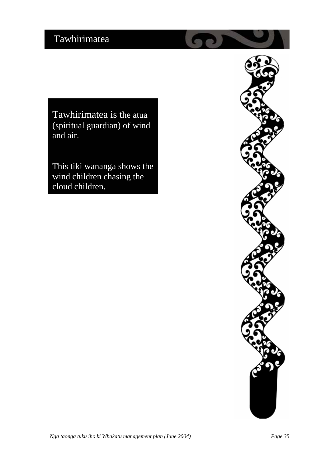Tawhirimatea is the atua (spiritual guardian) of wind and air.

This tiki wananga shows the wind children chasing the cloud children.

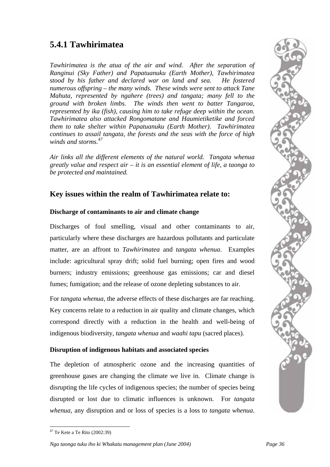# **5.4.1 Tawhirimatea**

*Tawhirimatea is the atua of the air and wind. After the separation of Ranginui (Sky Father) and Papatuanuku (Earth Mother), Tawhirimatea stood by his father and declared war on land and sea. He fostered numerous offspring – the many winds. These winds were sent to attack Tane Mahuta, represented by ngahere (trees) and tangata; many fell to the ground with broken limbs. The winds then went to batter Tangaroa, represented by ika (fish), causing him to take refuge deep within the ocean. Tawhirimatea also attacked Rongomatane and Haumietiketike and forced them to take shelter within Papatuanuku (Earth Mother). Tawhirimatea continues to assail tangata, the forests and the seas with the force of high winds and storms.<sup>47</sup>*

*Air links all the different elements of the natural world. Tangata whenua greatly value and respect air – it is an essential element of life, a taonga to be protected and maintained.*

# **Key issues within the realm of Tawhirimatea relate to:**

#### **Discharge of contaminants to air and climate change**

Discharges of foul smelling, visual and other contaminants to air, particularly where these discharges are hazardous pollutants and particulate matter, are an affront to *Tawhirimatea* and *tangata whenua*. Examples include: agricultural spray drift; solid fuel burning; open fires and wood burners; industry emissions; greenhouse gas emissions; car and diesel fumes; fumigation; and the release of ozone depleting substances to air.

For *tangata whenua,* the adverse effects of these discharges are far reaching. Key concerns relate to a reduction in air quality and climate changes, which correspond directly with a reduction in the health and well-being of indigenous biodiversity, *tangata whenua* and *waahi tapu* (sacred places)*.* 

### **Disruption of indigenous habitats and associated species**

The depletion of atmospheric ozone and the increasing quantities of greenhouse gases are changing the climate we live in. Climate change is disrupting the life cycles of indigenous species; the number of species being disrupted or lost due to climatic influences is unknown. For *tangata whenua*, any disruption and or loss of species is a loss to *tangata whenua*.

*Nga taonga tuku iho ki Whakatu management plan (June 2004) Page 36* 

 $\overline{a}$  $47$  Te Kete a Te Rito (2002:39)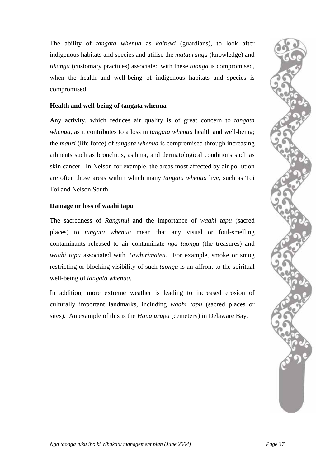The ability of *tangata whenua* as *kaitiaki* (guardians), to look after indigenous habitats and species and utilise the *matauranga* (knowledge) and *tikanga* (customary practices) associated with these *taonga* is compromised, when the health and well-being of indigenous habitats and species is compromised.

#### **Health and well-being of tangata whenua**

Any activity, which reduces air quality is of great concern to *tangata whenua*, as it contributes to a loss in *tangata whenua* health and well-being; the *mauri* (life force) of *tangata whenua* is compromised through increasing ailments such as bronchitis, asthma, and dermatological conditions such as skin cancer. In Nelson for example, the areas most affected by air pollution are often those areas within which many *tangata whenua* live, such as Toi Toi and Nelson South.

#### **Damage or loss of waahi tapu**

The sacredness of *Ranginui* and the importance of *waahi tapu* (sacred places) to *tangata whenua* mean that any visual or foul-smelling contaminants released to air contaminate *nga taonga* (the treasures) and *waahi tapu* associated with *Tawhirimatea*. For example, smoke or smog restricting or blocking visibility of such *taonga* is an affront to the spiritual well-being of *tangata whenua*.

In addition, more extreme weather is leading to increased erosion of culturally important landmarks, including *waahi tapu* (sacred places or sites). An example of this is the *Haua urupa* (cemetery) in Delaware Bay.

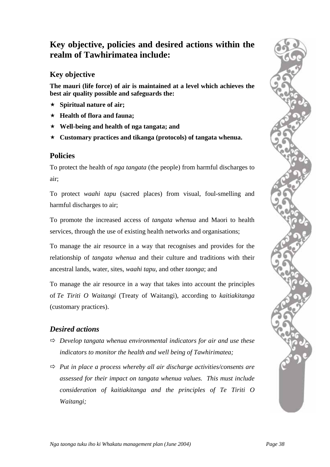# **Key objective, policies and desired actions within the realm of Tawhirimatea include:**

# **Key objective**

**The mauri (life force) of air is maintained at a level which achieves the best air quality possible and safeguards the:** 

- **Spiritual nature of air;**
- **Health of flora and fauna;**
- **Well-being and health of nga tangata; and**
- **Customary practices and tikanga (protocols) of tangata whenua.**

# **Policies**

To protect the health of *nga tangata* (the people) from harmful discharges to air;

To protect *waahi tapu* (sacred places) from visual, foul-smelling and harmful discharges to air;

To promote the increased access of *tangata whenua* and Maori to health services, through the use of existing health networks and organisations;

To manage the air resource in a way that recognises and provides for the relationship of *tangata whenua* and their culture and traditions with their ancestral lands, water, sites, *waahi tapu,* and other *taonga*; and

To manage the air resource in a way that takes into account the principles of *Te Tiriti O Waitangi* (Treaty of Waitangi), according to *kaitiakitanga* (customary practices).

# *Desired actions*

- $\Rightarrow$  *Develop tangata whenua environmental indicators for air and use these indicators to monitor the health and well being of Tawhirimatea;*
- Ö *Put in place a process whereby all air discharge activities/consents are assessed for their impact on tangata whenua values. This must include consideration of kaitiakitanga and the principles of Te Tiriti O Waitangi;*

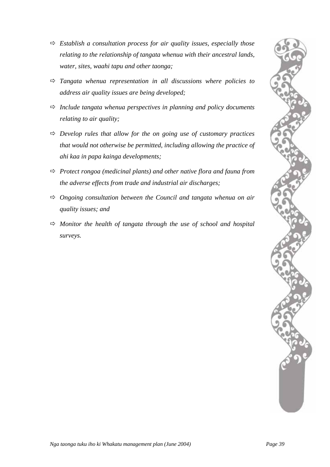

- $\Rightarrow$  *Establish a consultation process for air quality issues, especially those relating to the relationship of tangata whenua with their ancestral lands, water, sites, waahi tapu and other taonga;*
- $\Rightarrow$  *Tangata whenua representation in all discussions where policies to address air quality issues are being developed;*
- $\Rightarrow$  *Include tangata whenua perspectives in planning and policy documents relating to air quality;*
- $\Rightarrow$  *Develop rules that allow for the on going use of customary practices that would not otherwise be permitted, including allowing the practice of ahi kaa in papa kainga developments;*
- Ö *Protect rongoa (medicinal plants) and other native flora and fauna from the adverse effects from trade and industrial air discharges;*
- Ö *Ongoing consultation between the Council and tangata whenua on air quality issues; and*
- $\Rightarrow$  *Monitor the health of tangata through the use of school and hospital surveys.*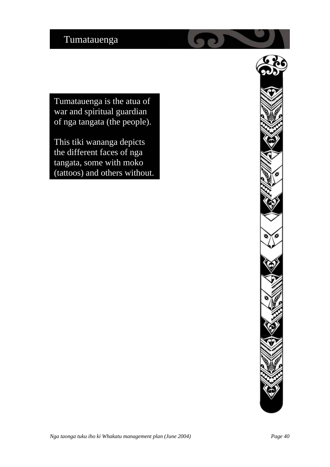Tumatauenga is the atua of war and spiritual guardian of nga tangata (the people).

This tiki wananga depicts the different faces of nga tangata, some with moko (tattoos) and others without.

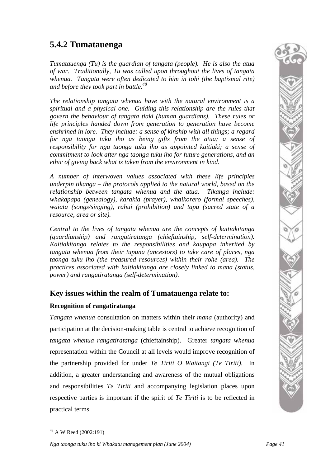# **5.4.2 Tumatauenga**

*Tumatauenga (Tu) is the guardian of tangata (people). He is also the atua of war. Traditionally, Tu was called upon throughout the lives of tangata whenua. Tangata were often dedicated to him in tohi (the baptismal rite) and before they took part in battle.48*

*The relationship tangata whenua have with the natural environment is a spiritual and a physical one. Guiding this relationship are the rules that govern the behaviour of tangata tiaki (human guardians). These rules or life principles handed down from generation to generation have become enshrined in lore. They include: a sense of kinship with all things; a regard for nga taonga tuku iho as being gifts from the atua; a sense of responsibility for nga taonga tuku iho as appointed kaitiaki; a sense of commitment to look after nga taonga tuku iho for future generations, and an ethic of giving back what is taken from the environment in kind.* 

*A number of interwoven values associated with these life principles underpin tikanga – the protocols applied to the natural world, based on the relationship between tangata whenua and the atua. Tikanga include: whakapapa (genealogy), karakia (prayer), whaikorero (formal speeches), waiata (songs/singing), rahui (prohibition) and tapu (sacred state of a resource, area or site).*

*Central to the lives of tangata whenua are the concepts of kaitiakitanga (guardianship) and rangatiratanga (chieftainship, self-determination). Kaitiakitanga relates to the responsibilities and kaupapa inherited by tangata whenua from their tupuna (ancestors) to take care of places, nga taonga tuku iho (the treasured resources) within their rohe (area). The practices associated with kaitiakitanga are closely linked to mana (status, power) and rangatiratanga (self-determination).* 

## **Key issues within the realm of Tumatauenga relate to:**

### **Recognition of rangatiratanga**

*Tangata whenua* consultation on matters within their *mana* (authority) and participation at the decision-making table is central to achieve recognition of *tangata whenua rangatiratanga* (chieftainship). Greater *tangata whenua* representation within the Council at all levels would improve recognition of the partnership provided for under *Te Tiriti O Waitangi (Te Tiriti)*. In addition, a greater understanding and awareness of the mutual obligations and responsibilities *Te Tiriti* and accompanying legislation places upon respective parties is important if the spirit of *Te Tiriti* is to be reflected in practical terms.

 $\overline{a}$ 

<span id="page-44-0"></span><sup>48</sup> A W Reed (2002:191)

*Nga taonga tuku iho ki Whakatu management plan (June 2004) Page 41*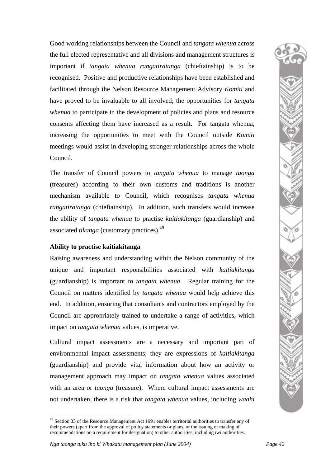Good working relationships between the Council and *tangata whenua* across the full elected representative and all divisions and management structures is important if *tangata whenua rangatiratanga* (chieftainship) is to be recognised. Positive and productive relationships have been established and facilitated through the Nelson Resource Management Advisory *Komiti* and have proved to be invaluable to all involved; the opportunities for *tangata whenua* to participate in the development of policies and plans and resource consents affecting them have increased as a result. For tangata whenua, increasing the opportunities to meet with the Council outside *Komiti* meetings would assist in developing stronger relationships across the whole Council.

The transfer of Council powers to *tangata whenua* to manage *taonga* (treasures) according to their own customs and traditions is another mechanism available to Council, which recognises *tangata whenua rangatiratanga* (chieftainship). In addition, such transfers would increase the ability of *tangata whenua* to practise *kaitiakitanga* (guardianship) and associated *tikanga* (customary practices).[49](#page-45-0)

#### **Ability to practise kaitiakitanga**

Raising awareness and understanding within the Nelson community of the unique and important responsibilities associated with *kaitiakitanga*  (guardianship) is important to *tangata whenua*. Regular training for the Council on matters identified by *tangata whenua* would help achieve this end. In addition, ensuring that consultants and contractors employed by the Council are appropriately trained to undertake a range of activities, which impact on *tangata whenua* values, is imperative.

Cultural impact assessments are a necessary and important part of environmental impact assessments; they are expressions of *kaitiakitanga* (guardianship) and provide vital information about how an activity or management approach may impact on *tangata whenua* values associated with an area or *taonga* (treasure). Where cultural impact assessments are not undertaken, there is a risk that *tangata whenua* values, including *waahi* 

 $\overline{a}$ 

<span id="page-45-0"></span><sup>&</sup>lt;sup>49</sup> Section 33 of the Resource Management Act 1991 enables territorial authorities to transfer any of their powers (apart from the approval of policy statements or plans, or the issuing or making of recommendations on a requirement for designation) to other authorities, including iwi authorities.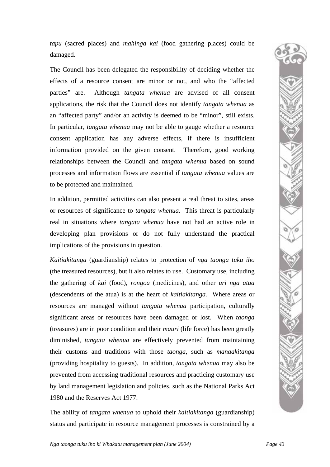*tapu* (sacred places) and *mahinga kai* (food gathering places) could be damaged.

The Council has been delegated the responsibility of deciding whether the effects of a resource consent are minor or not, and who the "affected parties" are. Although *tangata whenua* are advised of all consent applications, the risk that the Council does not identify *tangata whenua* as an "affected party" and/or an activity is deemed to be "minor", still exists. In particular, *tangata whenua* may not be able to gauge whether a resource consent application has any adverse effects, if there is insufficient information provided on the given consent. Therefore, good working relationships between the Council and *tangata whenua* based on sound processes and information flows are essential if *tangata whenua* values are to be protected and maintained.

In addition, permitted activities can also present a real threat to sites, areas or resources of significance to *tangata whenua*. This threat is particularly real in situations where *tangata whenua* have not had an active role in developing plan provisions or do not fully understand the practical implications of the provisions in question.

*Kaitiakitanga* (guardianship) relates to protection of *nga taonga tuku iho* (the treasured resources), but it also relates to use. Customary use, including the gathering of *kai* (food), *rongoa* (medicines), and other *uri nga atua* (descendents of the atua) is at the heart of *kaitiakitanga.* Where areas or resources are managed without *tangata whenua* participation, culturally significant areas or resources have been damaged or lost. When *taonga* (treasures) are in poor condition and their *mauri* (life force) has been greatly diminished, *tangata whenua* are effectively prevented from maintaining their customs and traditions with those *taonga,* such as *manaakitanga* (providing hospitality to guests). In addition, *tangata whenua* may also be prevented from accessing traditional resources and practicing customary use by land management legislation and policies, such as the National Parks Act 1980 and the Reserves Act 1977.

The ability of *tangata whenua* to uphold their *kaitiakitanga* (guardianship) status and participate in resource management processes is constrained by a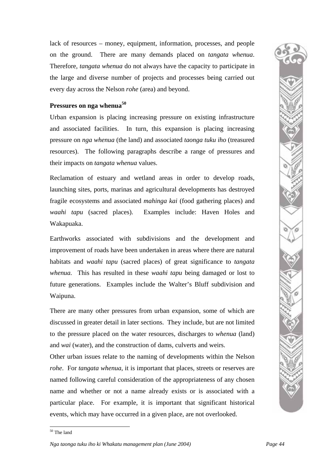lack of resources – money, equipment, information, processes, and people on the ground. There are many demands placed on *tangata whenua*. Therefore, *tangata whenua* do not always have the capacity to participate in the large and diverse number of projects and processes being carried out every day across the Nelson *rohe* (area) and beyond.

#### **Pressures on nga whenua[50](#page-47-0)**

Urban expansion is placing increasing pressure on existing infrastructure and associated facilities. In turn, this expansion is placing increasing pressure on *nga whenua* (the land) and associated *taonga tuku iho* (treasured resources). The following paragraphs describe a range of pressures and their impacts on *tangata whenua* values.

Reclamation of estuary and wetland areas in order to develop roads, launching sites, ports, marinas and agricultural developments has destroyed fragile ecosystems and associated *mahinga kai* (food gathering places) and *waahi tapu* (sacred places). Examples include: Haven Holes and Wakapuaka.

Earthworks associated with subdivisions and the development and improvement of roads have been undertaken in areas where there are natural habitats and *waahi tapu* (sacred places) of great significance to *tangata whenua.* This has resulted in these *waahi tapu* being damaged or lost to future generations. Examples include the Walter's Bluff subdivision and Waipuna.

There are many other pressures from urban expansion, some of which are discussed in greater detail in later sections. They include, but are not limited to the pressure placed on the water resources, discharges to *whenua* (land) and *wai* (water), and the construction of dams, culverts and weirs.

Other urban issues relate to the naming of developments within the Nelson *rohe*. For *tangata whenua*, it is important that places, streets or reserves are named following careful consideration of the appropriateness of any chosen name and whether or not a name already exists or is associated with a particular place. For example, it is important that significant historical events, which may have occurred in a given place, are not overlooked.



 $\overline{a}$ 

<span id="page-47-0"></span><sup>50</sup> The land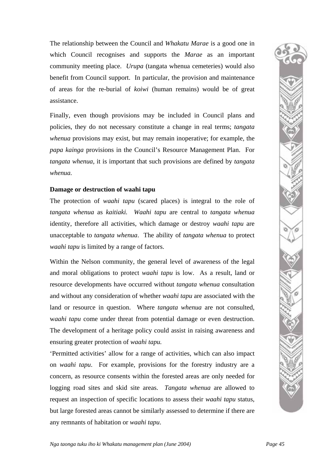The relationship between the Council and *Whakatu Marae* is a good one in which Council recognises and supports the *Marae* as an important community meeting place. *Urupa* (tangata whenua cemeteries) would also benefit from Council support. In particular, the provision and maintenance of areas for the re-burial of *koiwi* (human remains) would be of great assistance.

Finally, even though provisions may be included in Council plans and policies, they do not necessary constitute a change in real terms; *tangata whenua* provisions may exist, but may remain inoperative; for example, the *papa kainga* provisions in the Council's Resource Management Plan. For *tangata whenua,* it is important that such provisions are defined by *tangata whenua.*

#### **Damage or destruction of waahi tapu**

The protection of *waahi tapu* (scared places) is integral to the role of *tangata whenua* as *kaitiaki. Waahi tapu* are central to *tangata whenua* identity, therefore all activities, which damage or destroy *waahi tapu* are unacceptable to *tangata whenua*. The ability of *tangata whenua* to protect *waahi tapu* is limited by a range of factors.

Within the Nelson community, the general level of awareness of the legal and moral obligations to protect *waahi tapu* is low. As a result, land or resource developments have occurred without *tangata whenua* consultation and without any consideration of whether *waahi tapu* are associated with the land or resource in question. Where *tangata whenua* are not consulted, w*aahi tapu* come under threat from potential damage or even destruction. The development of a heritage policy could assist in raising awareness and ensuring greater protection of *waahi tapu.* 

'Permitted activities' allow for a range of activities, which can also impact on *waahi tapu*. For example, provisions for the forestry industry are a concern, as resource consents within the forested areas are only needed for logging road sites and skid site areas. *Tangata whenua* are allowed to request an inspection of specific locations to assess their *waahi tapu* status, but large forested areas cannot be similarly assessed to determine if there are any remnants of habitation or *waahi tapu*.

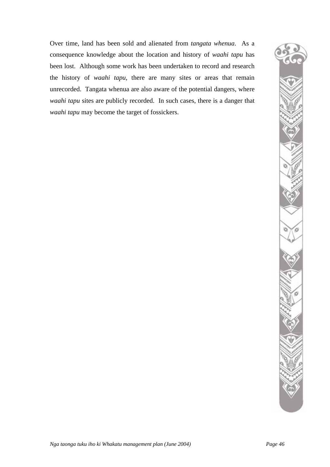Over time, land has been sold and alienated from *tangata whenua*. As a consequence knowledge about the location and history of *waahi tapu* has been lost. Although some work has been undertaken to record and research the history of *waahi tapu*, there are many sites or areas that remain unrecorded. Tangata whenua are also aware of the potential dangers, where *waahi tapu* sites are publicly recorded. In such cases, there is a danger that *waahi tapu* may become the target of fossickers.

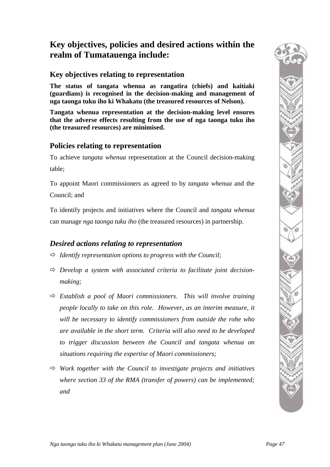# **Key objectives, policies and desired actions within the realm of Tumatauenga include:**

## **Key objectives relating to representation**

**The status of tangata whenua as rangatira (chiefs) and kaitiaki (guardians) is recognised in the decision-making and management of nga taonga tuku iho ki Whakatu (the treasured resources of Nelson).** 

**Tangata whenua representation at the decision-making level ensures that the adverse effects resulting from the use of nga taonga tuku iho (the treasured resources) are minimised.** 

### **Policies relating to representation**

To achieve *tangata whenua* representation at the Council decision-making table;

To appoint Maori commissioners as agreed to by *tangata whenua* and the Council; and

To identify projects and initiatives where the Council and *tangata whenua* can manage *nga taonga tuku iho* (the treasured resources) in partnership.

## *Desired actions relating to representation*

- Ö *Identify representation options to progress with the Council;*
- $\Rightarrow$  Develop a system with associated criteria to facilitate joint decision*making;*
- Ö *Establish a pool of Maori commissioners. This will involve training people locally to take on this role. However, as an interim measure, it will be necessary to identify commissioners from outside the rohe who are available in the short term. Criteria will also need to be developed to trigger discussion between the Council and tangata whenua on situations requiring the expertise of Maori commissioners;*
- $\Rightarrow$  Work together with the Council to investigate projects and initiatives *where section 33 of the RMA (transfer of powers) can be implemented; and*

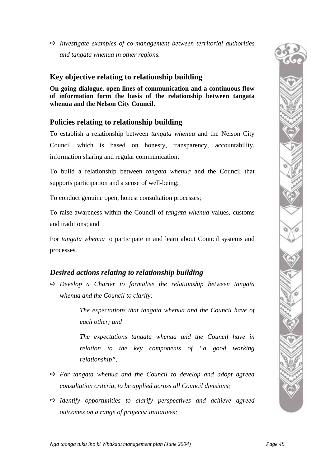Ö *Investigate examples of co-management between territorial authorities and tangata whenua in other regions.* 

# **Key objective relating to relationship building**

**On-going dialogue, open lines of communication and a continuous flow of information form the basis of the relationship between tangata whenua and the Nelson City Council.** 

# **Policies relating to relationship building**

To establish a relationship between *tangata whenua* and the Nelson City Council which is based on honesty, transparency, accountability, information sharing and regular communication;

To build a relationship between *tangata whenua* and the Council that supports participation and a sense of well-being;

To conduct genuine open, honest consultation processes;

To raise awareness within the Council of *tangata whenua* values, customs and traditions; and

For *tangata whenua* to participate in and learn about Council systems and processes.

# *Desired actions relating to relationship building*

 $\Rightarrow$  *Develop a Charter to formalise the relationship between tangata whenua and the Council to clarify:* 

> *The expectations that tangata whenua and the Council have of each other; and*

> *The expectations tangata whenua and the Council have in relation to the key components of "a good working relationship";*

- $\Rightarrow$  For tangata whenua and the Council to develop and adopt agreed *consultation criteria, to be applied across all Council divisions;*
- $\Rightarrow$  *Identify opportunities to clarify perspectives and achieve agreed outcomes on a range of projects/ initiatives;*

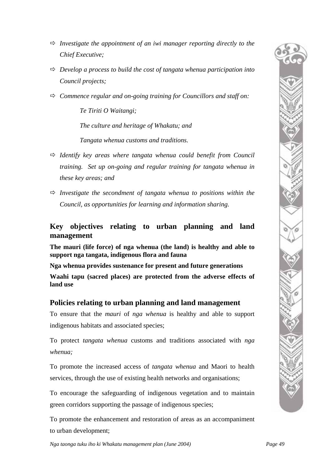

- $\Rightarrow$  *Investigate the appointment of an iwi manager reporting directly to the Chief Executive;*
- $\Rightarrow$  *Develop a process to build the cost of tangata whenua participation into Council projects;*
- Ö *Commence regular and on-going training for Councillors and staff on:*

*Te Tiriti O Waitangi;* 

*The culture and heritage of Whakatu; and* 

*Tangata whenua customs and traditions.* 

- $\Rightarrow$  *Identify key areas where tangata whenua could benefit from Council training. Set up on-going and regular training for tangata whenua in these key areas; and*
- $\Rightarrow$  *Investigate the secondment of tangata whenua to positions within the Council, as opportunities for learning and information sharing.*

### **Key objectives relating to urban planning and land management**

**The mauri (life force) of nga whenua (the land) is healthy and able to support nga tangata, indigenous flora and fauna** 

**Nga whenua provides sustenance for present and future generations** 

**Waahi tapu (sacred places) are protected from the adverse effects of land use** 

## **Policies relating to urban planning and land management**

To ensure that the *mauri* of *nga whenua* is healthy and able to support indigenous habitats and associated species;

To protect *tangata whenua* customs and traditions associated with *nga whenua;* 

To promote the increased access of *tangata whenua* and Maori to health services, through the use of existing health networks and organisations;

To encourage the safeguarding of indigenous vegetation and to maintain green corridors supporting the passage of indigenous species;

To promote the enhancement and restoration of areas as an accompaniment to urban development;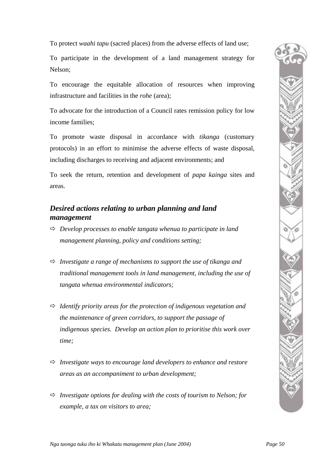To protect *waahi tapu* (sacred places) from the adverse effects of land use;

To participate in the development of a land management strategy for Nelson;

To encourage the equitable allocation of resources when improving infrastructure and facilities in the *rohe* (area);

To advocate for the introduction of a Council rates remission policy for low income families;

To promote waste disposal in accordance with *tikanga* (customary protocols) in an effort to minimise the adverse effects of waste disposal, including discharges to receiving and adjacent environments; and

To seek the return, retention and development of *papa kainga* sites and areas.

# *Desired actions relating to urban planning and land management*

- $\Rightarrow$  *Develop processes to enable tangata whenua to participate in land management planning, policy and conditions setting;*
- $\Rightarrow$  *Investigate a range of mechanisms to support the use of tikanga and traditional management tools in land management, including the use of tangata whenua environmental indicators;*
- $\Rightarrow$  *Identify priority areas for the protection of indigenous vegetation and the maintenance of green corridors, to support the passage of indigenous species. Develop an action plan to prioritise this work over time;*
- $\Rightarrow$  *Investigate ways to encourage land developers to enhance and restore areas as an accompaniment to urban development;*
- $\Rightarrow$  *Investigate options for dealing with the costs of tourism to Nelson; for example, a tax on visitors to area;*

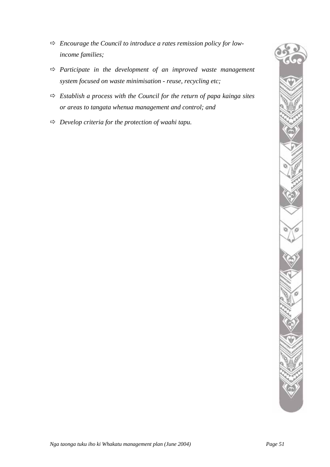- Ö *Encourage the Council to introduce a rates remission policy for lowincome families;*
- Ö *Participate in the development of an improved waste management system focused on waste minimisation - reuse, recycling etc;*
- $\Rightarrow$  *Establish a process with the Council for the return of papa kainga sites or areas to tangata whenua management and control; and*
- Ö *Develop criteria for the protection of waahi tapu.*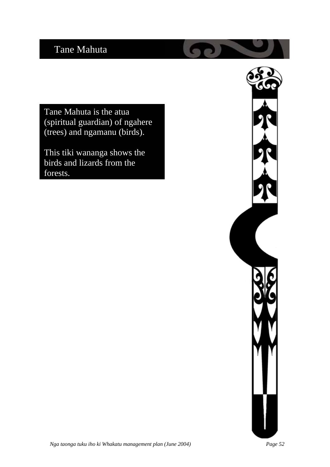# Tane Mahuta

Tane Mahuta is the atua (spiritual guardian) of ngahere (trees) and ngamanu (birds).

This tiki wananga shows the birds and lizards from the forests.

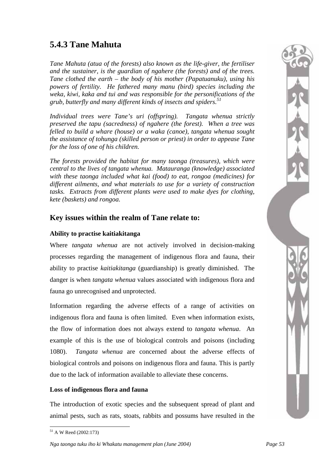# **5.4.3 Tane Mahuta**

*Tane Mahuta (atua of the forests) also known as the life-giver, the fertiliser and the sustainer, is the guardian of ngahere (the forests) and of the trees. Tane clothed the earth – the body of his mother (Papatuanuku), using his powers of fertility. He fathered many manu (bird) species including the weka, kiwi, kaka and tui and was responsible for the personifications of the grub, butterfly and many different kinds of insects and spiders.51*

*Individual trees were Tane's uri (offspring). Tangata whenua strictly preserved the tapu (sacredness) of ngahere (the forest). When a tree was felled to build a whare (house) or a waka (canoe), tangata whenua sought the assistance of tohunga (skilled person or priest) in order to appease Tane for the loss of one of his children.* 

*The forests provided the habitat for many taonga (treasures), which were central to the lives of tangata whenua. Matauranga (knowledge) associated with these taonga included what kai (food) to eat, rongoa (medicines) for different ailments, and what materials to use for a variety of construction tasks. Extracts from different plants were used to make dyes for clothing, kete (baskets) and rongoa.*

## **Key issues within the realm of Tane relate to:**

#### **Ability to practise kaitiakitanga**

Where *tangata whenua* are not actively involved in decision-making processes regarding the management of indigenous flora and fauna, their ability to practise *kaitiakitanga* (guardianship) is greatly diminished. The danger is when *tangata whenua* values associated with indigenous flora and fauna go unrecognised and unprotected.

Information regarding the adverse effects of a range of activities on indigenous flora and fauna is often limited. Even when information exists, the flow of information does not always extend to *tangata whenua*. An example of this is the use of biological controls and poisons (including 1080). *Tangata whenua* are concerned about the adverse effects of biological controls and poisons on indigenous flora and fauna. This is partly due to the lack of information available to alleviate these concerns.

#### **Loss of indigenous flora and fauna**

The introduction of exotic species and the subsequent spread of plant and animal pests, such as rats, stoats, rabbits and possums have resulted in the

<span id="page-56-0"></span> $\overline{a}$ 51 A W Reed (2002:173)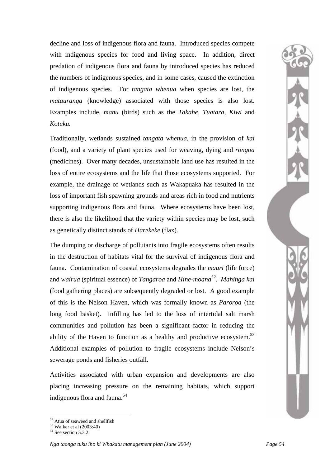decline and loss of indigenous flora and fauna. Introduced species compete with indigenous species for food and living space. In addition, direct predation of indigenous flora and fauna by introduced species has reduced the numbers of indigenous species, and in some cases, caused the extinction of indigenous species. For *tangata whenua* when species are lost, the *matauranga* (knowledge) associated with those species is also lost. Examples include, *manu* (birds) such as the *Takahe*, *Tuatara*, *Kiwi* and *Kotuku.*

Traditionally, wetlands sustained *tangata whenua*, in the provision of *kai* (food), and a variety of plant species used for weaving, dying and *rongoa* (medicines). Over many decades, unsustainable land use has resulted in the loss of entire ecosystems and the life that those ecosystems supported. For example, the drainage of wetlands such as Wakapuaka has resulted in the loss of important fish spawning grounds and areas rich in food and nutrients supporting indigenous flora and fauna. Where ecosystems have been lost, there is also the likelihood that the variety within species may be lost, such as genetically distinct stands of *Harekeke* (flax).

The dumping or discharge of pollutants into fragile ecosystems often results in the destruction of habitats vital for the survival of indigenous flora and fauna. Contamination of coastal ecosystems degrades the *mauri* (life force) and *wairua* (spiritual essence) of *Tangaroa* and *Hine-moana[52](#page-57-0)*. *Mahinga kai* (food gathering places) are subsequently degraded or lost. A good example of this is the Nelson Haven, which was formally known as *Paroroa* (the long food basket). Infilling has led to the loss of intertidal salt marsh communities and pollution has been a significant factor in reducing the ability of the Haven to function as a healthy and productive ecosystem.<sup>53</sup> Additional examples of pollution to fragile ecosystems include Nelson's sewerage ponds and fisheries outfall.

Activities associated with urban expansion and developments are also placing increasing pressure on the remaining habitats, which support indigenous flora and fauna.<sup>54</sup>

<span id="page-57-0"></span><sup>&</sup>lt;sup>52</sup> Atua of seaweed and shellfish

<span id="page-57-1"></span> $\frac{53}{54}$  Walker et al (2003:40)<br> $\frac{54}{54}$  See section 5.3.2

<span id="page-57-2"></span>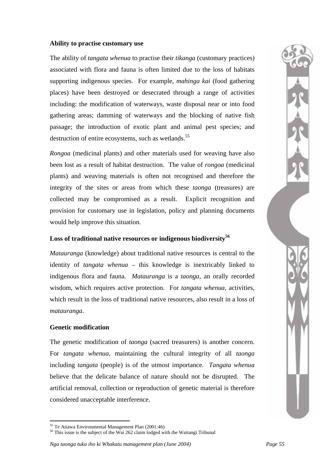#### **Ability to practise customary use**

The ability of *tangata whenua* to practise their *tikanga* (customary practices) associated with flora and fauna is often limited due to the loss of habitats supporting indigenous species. For example, *mahinga kai* (food gathering places) have been destroyed or desecrated through a range of activities including: the modification of waterways, waste disposal near or into food gathering areas; damming of waterways and the blocking of native fish passage; the introduction of exotic plant and animal pest species; and destruction of entire ecosystems, such as wetlands.<sup>55</sup>

*Rongoa* (medicinal plants) and other materials used for weaving have also been lost as a result of habitat destruction. The value of *rongoa* (medicinal plants) and weaving materials is often not recognised and therefore the integrity of the sites or areas from which these *taonga* (treasures) are collected may be compromised as a result. Explicit recognition and provision for customary use in legislation, policy and planning documents would help improve this situation.

#### **Loss of traditional native resources or indigenous biodiversity[56](#page-58-1)**

*Matauranga* (knowledge) about traditional native resources is central to the identity of *tangata whenua* – this knowledge is inextricably linked to indigenous flora and fauna*. Matauranga* is a *taonga,* an orally recorded wisdom, which requires active protection. For *tangata whenua,* activities, which result in the loss of traditional native resources, also result in a loss of *matauranga*.

#### **Genetic modification**

The genetic modification of *taonga* (sacred treasurers) is another concern. For *tangata whenua*, maintaining the cultural integrity of all *taonga* including *tangata* (people) is of the utmost importance. *Tangata whenua* believe that the delicate balance of nature should not be disrupted. The artificial removal, collection or reproduction of genetic material is therefore considered unacceptable interference.

 $\overline{a}$ 

<span id="page-58-1"></span><span id="page-58-0"></span><sup>&</sup>lt;sup>55</sup> Te Atiawa Environmental Management Plan (2001:46)<br><sup>56</sup> This issue is the subject of the Wai 262 claim lodged with the Waitangi Tribunal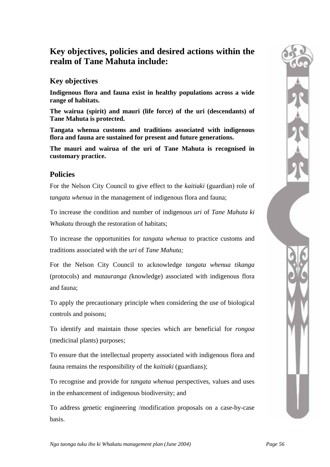# **Key objectives, policies and desired actions within the realm of Tane Mahuta include:**

## **Key objectives**

**Indigenous flora and fauna exist in healthy populations across a wide range of habitats.** 

**The wairua (spirit) and mauri (life force) of the uri (descendants) of Tane Mahuta is protected.** 

**Tangata whenua customs and traditions associated with indigenous flora and fauna are sustained for present and future generations.** 

**The mauri and wairua of the uri of Tane Mahuta is recognised in customary practice.** 

### **Policies**

For the Nelson City Council to give effect to the *kaitiaki* (guardian) role of *tangata whenua* in the management of indigenous flora and fauna;

To increase the condition and number of indigenous *uri* of *Tane Mahuta ki Whakatu* through the restoration of habitats;

To increase the opportunities for *tangata whenua* to practice customs and traditions associated with the *uri* of *Tane Mahuta;* 

For the Nelson City Council to acknowledge *tangata whenua tikanga* (protocols) and *matauranga (*knowledge) associated with indigenous flora and fauna;

To apply the precautionary principle when considering the use of biological controls and poisons;

To identify and maintain those species which are beneficial for *rongoa*  (medicinal plants) purposes;

To ensure that the intellectual property associated with indigenous flora and fauna remains the responsibility of the *kaitiaki* (guardians);

To recognise and provide for *tangata whenua* perspectives, values and uses in the enhancement of indigenous biodiversity; and

To address genetic engineering /modification proposals on a case-by-case basis.

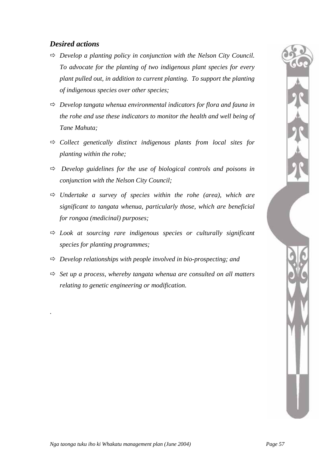# *Desired actions*

.

- $\Rightarrow$  *Develop a planting policy in conjunction with the Nelson City Council. To advocate for the planting of two indigenous plant species for every plant pulled out, in addition to current planting. To support the planting of indigenous species over other species;*
- Ö *Develop tangata whenua environmental indicators for flora and fauna in the rohe and use these indicators to monitor the health and well being of Tane Mahuta;*
- $\Rightarrow$  *Collect genetically distinct indigenous plants from local sites for planting within the rohe;*
- $\Rightarrow$  *Develop guidelines for the use of biological controls and poisons in conjunction with the Nelson City Council;*
- $\Rightarrow$  *Undertake a survey of species within the rohe (area), which are significant to tangata whenua, particularly those, which are beneficial for rongoa (medicinal) purposes;*
- $\Rightarrow$  *Look at sourcing rare indigenous species or culturally significant species for planting programmes;*
- $\Rightarrow$  *Develop relationships with people involved in bio-prospecting; and*
- $\Rightarrow$  *Set up a process, whereby tangata whenua are consulted on all matters relating to genetic engineering or modification.*

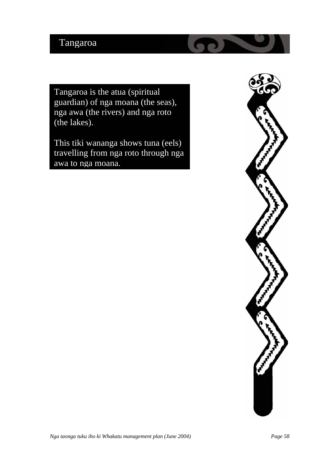# Tangaroa

Tangaroa is the atua (spiritual guardian) of nga moana (the seas), nga awa (the rivers) and nga roto (the lakes).

This tiki wananga shows tuna (eels) travelling from nga roto through nga awa to nga moana.

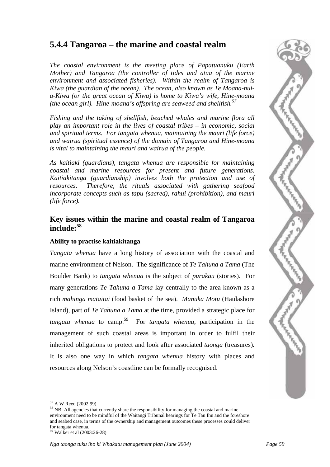# **5.4.4 Tangaroa – the marine and coastal realm**

*The coastal environment is the meeting place of Papatuanuku (Earth Mother) and Tangaroa (the controller of tides and atua of the marine environment and associated fisheries). Within the realm of Tangaroa is Kiwa (the guardian of the ocean). The ocean, also known as Te Moana-nuia-Kiwa (or the great ocean of Kiwa) is home to Kiwa's wife, Hine-moana (the ocean girl). Hine-moana's offspring are seaweed and shellfish.57*

*Fishing and the taking of shellfish, beached whales and marine flora all play an important role in the lives of coastal tribes – in economic, social and spiritual terms. For tangata whenua, maintaining the mauri (life force) and wairua (spiritual essence) of the domain of Tangaroa and Hine-moana is vital to maintaining the mauri and wairua of the people.* 

*As kaitiaki (guardians), tangata whenua are responsible for maintaining coastal and marine resources for present and future generations. Kaitiakitanga (guardianship) involves both the protection and use of resources. Therefore, the rituals associated with gathering seafood incorporate concepts such as tapu (sacred), rahui (prohibition), and mauri (life force).* 

### **Key issues within the marine and coastal realm of Tangaroa include:<sup>58</sup>**

### **Ability t[o pr](#page-62-1)actise kaitiakitanga**

*Tangata whenua* have a long history of association with the coastal and marine environment of Nelson. The significance of *Te Tahuna a Tama* (The Boulder Bank) to *tangata whenua* is the subject of *purakau* (stories). For many generations *Te Tahuna a Tama* lay centrally to the area known as a rich *mahinga mataitai* (food basket of the sea). *Manuka Motu* (Haulashore Island), part of *Te Tahuna a Tama* at the time, provided a strategic place for *tangata whenua* to camp.[59](#page-62-2) For *tangata whenua*, participation in the management of such coastal areas is important in order to fulfil their inherited obligations to protect and look after associated *taonga* (treasures)*.* It is also one way in which *tangata whenua* history with places and resources along Nelson's coastline can be formally recognised.



<span id="page-62-0"></span> $57$  A W Reed (2002:99)

<span id="page-62-1"></span> $58$  NB: All agencies that currently share the responsibility for managing the coastal and marine environment need to be mindful of the Waitangi Tribunal hearings for Te Tau Ihu and the foreshore and seabed case, in terms of the ownership and management outcomes these processes could deliver for tangata whenua. 59 Walker et al (2003:26-28)

<span id="page-62-2"></span>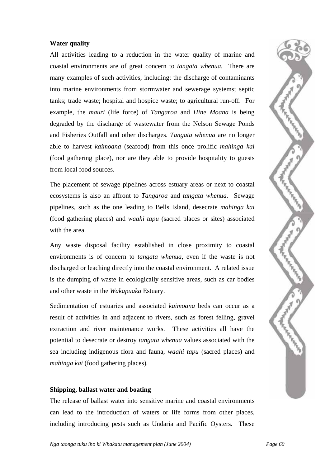#### **Water quality**

All activities leading to a reduction in the water quality of marine and coastal environments are of great concern to *tangata whenua*. There are many examples of such activities, including: the discharge of contaminants into marine environments from stormwater and sewerage systems; septic tanks; trade waste; hospital and hospice waste; to agricultural run-off. For example, the *mauri* (life force) of *Tangaroa* and *Hine Moana* is being degraded by the discharge of wastewater from the Nelson Sewage Ponds and Fisheries Outfall and other discharges. *Tangata whenua* are no longer able to harvest *kaimoana* (seafood) from this once prolific *mahinga kai* (food gathering place)*,* nor are they able to provide hospitality to guests from local food sources.

The placement of sewage pipelines across estuary areas or next to coastal ecosystems is also an affront to *Tangaroa* and *tangata whenua.* Sewage pipelines, such as the one leading to Bells Island, desecrate *mahinga kai* (food gathering places) and *waahi tapu* (sacred places or sites) associated with the area.

Any waste disposal facility established in close proximity to coastal environments is of concern to *tangata whenua*, even if the waste is not discharged or leaching directly into the coastal environment. A related issue is the dumping of waste in ecologically sensitive areas, such as car bodies and other waste in the *Wakapuaka* Estuary.

Sedimentation of estuaries and associated *kaimoana* beds can occur as a result of activities in and adjacent to rivers, such as forest felling, gravel extraction and river maintenance works. These activities all have the potential to desecrate or destroy *tangata whenua* values associated with the sea including indigenous flora and fauna, *waahi tapu* (sacred places) and *mahinga kai* (food gathering places)*.* 

#### **Shipping, ballast water and boating**

The release of ballast water into sensitive marine and coastal environments can lead to the introduction of waters or life forms from other places, including introducing pests such as Undaria and Pacific Oysters. These

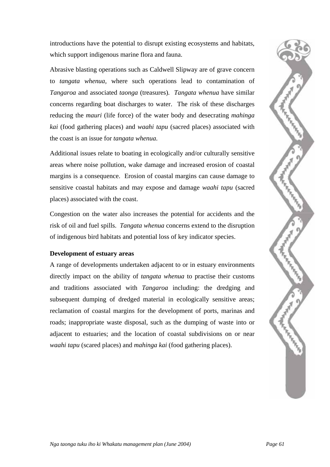introductions have the potential to disrupt existing ecosystems and habitats, which support indigenous marine flora and fauna.

Abrasive blasting operations such as Caldwell Slipway are of grave concern to *tangata whenua,* where such operations lead to contamination of *Tangaroa* and associated *taonga* (treasures)*. Tangata whenua* have similar concerns regarding boat discharges to water. The risk of these discharges reducing the *mauri* (life force) of the water body and desecrating *mahinga kai* (food gathering places) and *waahi tapu* (sacred places) associated with the coast is an issue for *tangata whenua.* 

Additional issues relate to boating in ecologically and/or culturally sensitive areas where noise pollution, wake damage and increased erosion of coastal margins is a consequence. Erosion of coastal margins can cause damage to sensitive coastal habitats and may expose and damage *waahi tapu* (sacred places) associated with the coast.

Congestion on the water also increases the potential for accidents and the risk of oil and fuel spills. *Tangata whenua* concerns extend to the disruption of indigenous bird habitats and potential loss of key indicator species.

#### **Development of estuary areas**

A range of developments undertaken adjacent to or in estuary environments directly impact on the ability of *tangata whenua* to practise their customs and traditions associated with *Tangaroa* including: the dredging and subsequent dumping of dredged material in ecologically sensitive areas; reclamation of coastal margins for the development of ports, marinas and roads; inappropriate waste disposal, such as the dumping of waste into or adjacent to estuaries; and the location of coastal subdivisions on or near *waahi tapu* (scared places) and *mahinga kai* (food gathering places).

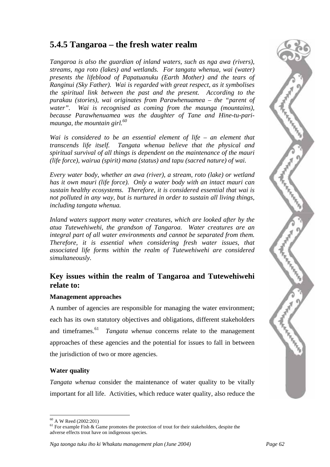# **5.4.5 Tangaroa – the fresh water realm**

*Tangaroa is also the guardian of inland waters, such as nga awa (rivers), streams, nga roto (lakes) and wetlands. For tangata whenua, wai (water) presents the lifeblood of Papatuanuku (Earth Mother) and the tears of Ranginui (Sky Father). Wai is regarded with great respect, as it symbolises the spiritual link between the past and the present. According to the purakau (stories), wai originates from Parawhenuamea – the "parent of water". Wai is recognised as coming from the maunga (mountains), because Parawhenuamea was the daughter of Tane and Hine-tu-parimaunga, the mountain girl.[60](#page-65-0)* 

*Wai is considered to be an essential element of life – an element that transcends life itself. Tangata whenua believe that the physical and spiritual survival of all things is dependent on the maintenance of the mauri (life force), wairua (spirit) mana (status) and tapu (sacred nature) of wai.* 

*Every water body, whether an awa (river), a stream, roto (lake) or wetland has it own mauri (life force). Only a water body with an intact mauri can sustain healthy ecosystems. Therefore, it is considered essential that wai is not polluted in any way, but is nurtured in order to sustain all living things, including tangata whenua.* 

*Inland waters support many water creatures, which are looked after by the atua Tutewehiwehi, the grandson of Tangaroa. Water creatures are an integral part of all water environments and cannot be separated from them. Therefore, it is essential when considering fresh water issues, that associated life forms within the realm of Tutewehiwehi are considered simultaneously.*

## **Key issues within the realm of Tangaroa and Tutewehiwehi relate to:**

#### **Management approaches**

A number of agencies are responsible for managing the water environment; each has its own statutory objectives and obligations, different stakeholders and timeframes.<sup>61</sup> *Tangata whenua* concerns relate to the management approaches of these agencies and the potential for issues to fall in between the jurisdiction of two or more agencies.

#### **Water quality**

*Tangata whenua* consider the maintenance of water quality to be vitally important for all life. Activities, which reduce water quality, also reduce the



<span id="page-65-0"></span> $^{60}$  A W Reed (2002:201)

<span id="page-65-1"></span> $61$  For example Fish & Game promotes the protection of trout for their stakeholders, despite the adverse effects trout have on indigenous species.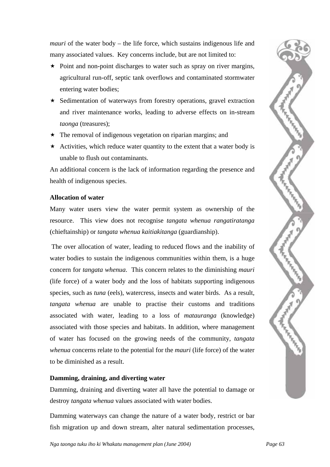*mauri* of the water body – the life force, which sustains indigenous life and many associated values. Key concerns include, but are not limited to:

- $\star$  Point and non-point discharges to water such as spray on river margins, agricultural run-off, septic tank overflows and contaminated stormwater entering water bodies;
- $\star$  Sedimentation of waterways from forestry operations, gravel extraction and river maintenance works, leading to adverse effects on in-stream *taonga* (treasures);
- $\star$  The removal of indigenous vegetation on riparian margins; and
- $\star$  Activities, which reduce water quantity to the extent that a water body is unable to flush out contaminants.

An additional concern is the lack of information regarding the presence and health of indigenous species.

#### **Allocation of water**

Many water users view the water permit system as ownership of the resource. This view does not recognise *tangata whenua rangatiratanga* (chieftainship) or *tangata whenua kaitiakitanga* (guardianship).

The over allocation of water, leading to reduced flows and the inability of water bodies to sustain the indigenous communities within them, is a huge concern for *tangata whenua*. This concern relates to the diminishing *mauri* (life force) of a water body and the loss of habitats supporting indigenous species, such as *tuna* (eels), watercress, insects and water birds. As a result, *tangata whenua* are unable to practise their customs and traditions associated with water, leading to a loss of *matauranga* (knowledge) associated with those species and habitats. In addition, where management of water has focused on the growing needs of the community, *tangata whenua* concerns relate to the potential for the *mauri* (life force) of the water to be diminished as a result.

#### **Damming, draining, and diverting water**

Damming, draining and diverting water all have the potential to damage or destroy *tangata whenua* values associated with water bodies.

Damming waterways can change the nature of a water body, restrict or bar fish migration up and down stream, alter natural sedimentation processes,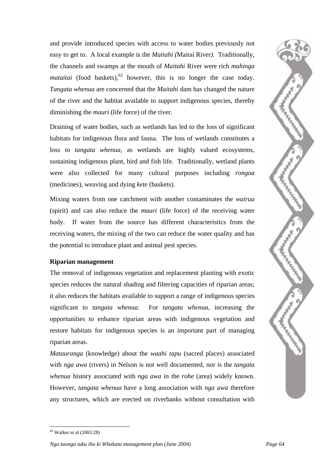and provide introduced species with access to water bodies previously not easy to get to. A local example is the *Maitahi (*Maitai River*).* Traditionally, the channels and swamps at the mouth of *Maitahi* River were rich *mahinga mataitai* (food baskets),  $62$  however, this is no longer the case today. *Tangata whenua* are concerned that the *Maitahi* dam has changed the nature of the river and the habitat available to support indigenous species, thereby diminishing the *mauri* (life force) of the river.

Draining of water bodies, such as wetlands has led to the loss of significant habitats for indigenous flora and fauna. The loss of wetlands constitutes a loss to *tangata whenua,* as wetlands are highly valued ecosystems, sustaining indigenous plant, bird and fish life. Traditionally, wetland plants were also collected for many cultural purposes including *rongoa* (medicines), weaving and dying *kete* (baskets).

Mixing waters from one catchment with another contaminates the *wairua*  (spirit) and can also reduce the *mauri* (life force) of the receiving water body. If water from the source has different characteristics from the receiving waters, the mixing of the two can reduce the water quality and has the potential to introduce plant and animal pest species.

#### **Riparian management**

The removal of indigenous vegetation and replacement planting with exotic species reduces the natural shading and filtering capacities of riparian areas; it also reduces the habitats available to support a range of indigenous species significant to *tangata whenua.* For *tangata whenua*, increasing the opportunities to enhance riparian areas with indigenous vegetation and restore habitats for indigenous species is an important part of managing riparian areas.

*Matauranga* (knowledge) about the *waahi tapu* (sacred places) associated with *nga awa* (rivers) in Nelson is not well documented, nor is the *tangata whenua* history associated with *nga awa* in the *rohe* (area) widely known. However, *tangata whenua* have a long association with *nga awa* therefore any structures, which are erected on riverbanks without consultation with



 $\overline{a}$ 

<span id="page-67-0"></span> $62$  Walker et al (2003:28)

*Nga taonga tuku iho ki Whakatu management plan (June 2004) Page 64*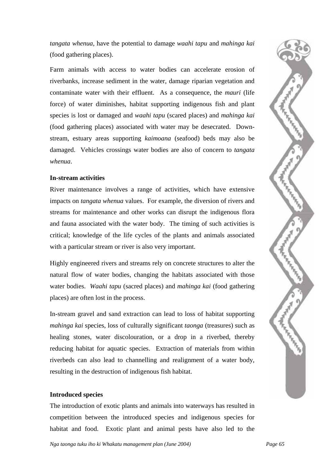*tangata whenua*, have the potential to damage *waahi tapu* and *mahinga kai* (food gathering places).

Farm animals with access to water bodies can accelerate erosion of riverbanks, increase sediment in the water, damage riparian vegetation and contaminate water with their effluent. As a consequence, the *mauri* (life force) of water diminishes, habitat supporting indigenous fish and plant species is lost or damaged and *waahi tapu* (scared places) and *mahinga kai* (food gathering places) associated with water may be desecrated. Downstream, estuary areas supporting *kaimoana* (seafood) beds may also be damaged. Vehicles crossings water bodies are also of concern to *tangata whenua*.

#### **In-stream activities**

River maintenance involves a range of activities, which have extensive impacts on *tangata whenua* values. For example, the diversion of rivers and streams for maintenance and other works can disrupt the indigenous flora and fauna associated with the water body. The timing of such activities is critical; knowledge of the life cycles of the plants and animals associated with a particular stream or river is also very important.

Highly engineered rivers and streams rely on concrete structures to alter the natural flow of water bodies, changing the habitats associated with those water bodies. *Waahi tapu* (sacred places) and *mahinga kai* (food gathering places) are often lost in the process.

In-stream gravel and sand extraction can lead to loss of habitat supporting *mahinga kai* species, loss of culturally significant *taonga* (treasures) such as healing stones, water discolouration, or a drop in a riverbed, thereby reducing habitat for aquatic species. Extraction of materials from within riverbeds can also lead to channelling and realignment of a water body, resulting in the destruction of indigenous fish habitat.

#### **Introduced species**

The introduction of exotic plants and animals into waterways has resulted in competition between the introduced species and indigenous species for habitat and food. Exotic plant and animal pests have also led to the

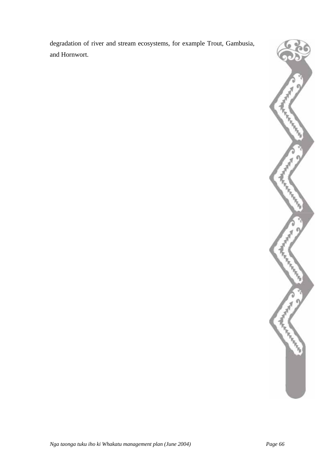degradation of river and stream ecosystems, for example Trout, Gambusia, and Hornwort.

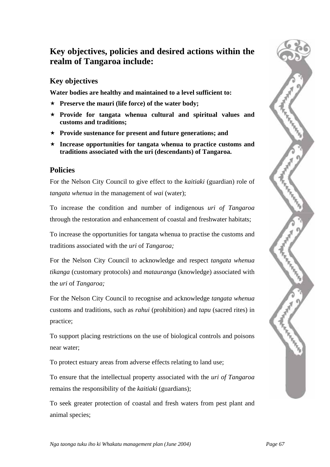# **Key objectives, policies and desired actions within the realm of Tangaroa include:**

## **Key objectives**

**Water bodies are healthy and maintained to a level sufficient to:** 

- **Preserve the mauri (life force) of the water body;**
- **Provide for tangata whenua cultural and spiritual values and customs and traditions;**
- **Provide sustenance for present and future generations; and**
- **Increase opportunities for tangata whenua to practice customs and traditions associated with the uri (descendants) of Tangaroa.**

## **Policies**

For the Nelson City Council to give effect to the *kaitiaki* (guardian) role of *tangata whenua* in the management of *wai* (water);

To increase the condition and number of indigenous *uri of Tangaroa* through the restoration and enhancement of coastal and freshwater habitats;

To increase the opportunities for tangata whenua to practise the customs and traditions associated with the *uri* of *Tangaroa;* 

For the Nelson City Council to acknowledge and respect *tangata whenua tikanga* (customary protocols) and *matauranga* (knowledge) associated with the *uri* of *Tangaroa;* 

For the Nelson City Council to recognise and acknowledge *tangata whenua* customs and traditions, such as *rahui* (prohibition) and *tapu* (sacred rites) in practice;

To support placing restrictions on the use of biological controls and poisons near water;

To protect estuary areas from adverse effects relating to land use;

To ensure that the intellectual property associated with the *uri of Tangaroa*  remains the responsibility of the *kaitiaki* (guardians);

To seek greater protection of coastal and fresh waters from pest plant and animal species;

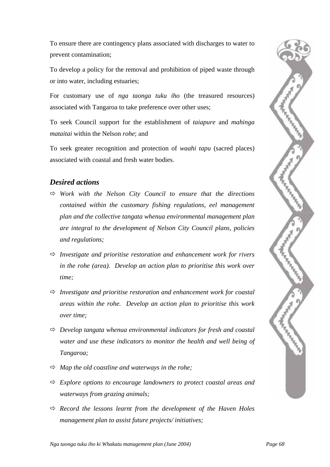To ensure there are contingency plans associated with discharges to water to prevent contamination;

To develop a policy for the removal and prohibition of piped waste through or into water, including estuaries;

For customary use of *nga taonga tuku iho* (the treasured resources) associated with Tangaroa to take preference over other uses;

To seek Council support for the establishment of *taiapure* and *mahinga mataitai* within the Nelson *rohe*; and

To seek greater recognition and protection of *waahi tapu* (sacred places) associated with coastal and fresh water bodies.

## *Desired actions*

- Ö *Work with the Nelson City Council to ensure that the directions contained within the customary fishing regulations, eel management plan and the collective tangata whenua environmental management plan are integral to the development of Nelson City Council plans, policies and regulations;*
- $\Rightarrow$  *Investigate and prioritise restoration and enhancement work for rivers in the rohe (area). Develop an action plan to prioritise this work over time;*
- Ö *Investigate and prioritise restoration and enhancement work for coastal areas within the rohe. Develop an action plan to prioritise this work over time;*
- Ö *Develop tangata whenua environmental indicators for fresh and coastal water and use these indicators to monitor the health and well being of Tangaroa;*
- $\Rightarrow$  *Map the old coastline and waterways in the rohe:*
- $\Rightarrow$  *Explore options to encourage landowners to protect coastal areas and waterways from grazing animals;*
- $\Rightarrow$  Record the lessons learnt from the development of the Haven Holes *management plan to assist future projects/ initiatives;*

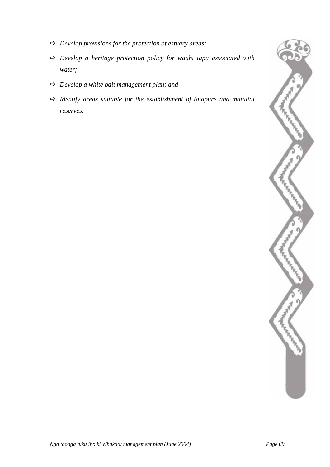- Ö *Develop provisions for the protection of estuary areas;*
- Ö *Develop a heritage protection policy for waahi tapu associated with water;*
- Ö *Develop a white bait management plan; and*
- Ö *Identify areas suitable for the establishment of taiapure and mataitai reserves.*

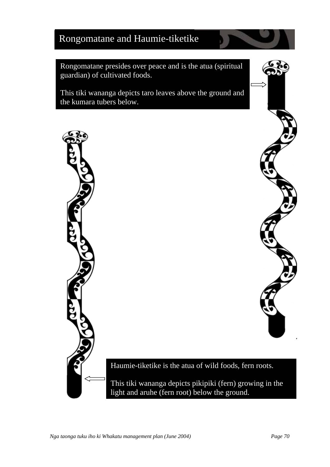# Rongomatane and Haumie-tiketike

Rongomatane presides over peace and is the atua (spiritual guardian) of cultivated foods.

This tiki wananga depicts taro leaves above the ground and the kumara tubers below.

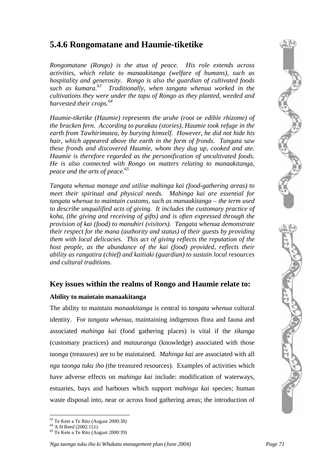# **5.4.6 Rongomatane and Haumie-tiketike**

*Rongomatane (Rongo) is the atua of peace. His role extends across activities, which relate to manaakitanga (welfare of humans), such as hospitality and generosity. Rongo is also the guardian of cultivated foods such as kumara.63 Traditionally, when tangata whenua worked in the cultivations they [wer](#page-74-0)e under the tapu of Rongo as they planted, weeded and harvested their crops.64*

*Haumie-tiketike (Haumie) represents the aruhe (root or edible rhizome) of the bracken fern. According to purakau (stories), Haumie took refuge in the earth from Tawhirimatea, by burying himself. However, he did not hide his hair, which appeared above the earth in the form of fronds. Tangata saw these fronds and discovered Haumie, whom they dug up, cooked and ate. Haumie is therefore regarded as the personification of uncultivated foods. He is also connected with Rongo on matters relating to manaakitanga, peace and the arts of peace.65*

*Tangata whenua manage and utilise mahinga kai (food-gathering areas) to meet their spiritual and physical needs. Mahinga kai are essential for tangata whenua to maintain customs, such as manaakitanga – the term used to describe unqualified acts of giving. It includes the customary practice of koha, (the giving and receiving of gifts) and is often expressed through the provision of kai (food) to manuhiri (visitors). Tangata whenua demonstrate their respect for the mana (authority and status) of their guests by providing them with local delicacies. This act of giving reflects the reputation of the host people, as the abundance of the kai (food) provided, reflects their ability as rangatira (chief) and kaitiaki (guardian) to sustain local resources and cultural traditions.*

### **Key issues within the realms of Rongo and Haumie relate to:**

#### **Ability to maintain manaakitanga**

The ability to maintain *manaakitanga* is central to *tangata whenua* cultural identity. For *tangata whenua*, maintaining indigenous flora and fauna and associated *mahinga kai* (food gathering places) is vital if the *tikanga* (customary practices) and *matauranga* (knowledge) associated with those *taonga* (treasures) are to be maintained*. Mahinga kai* are associated with all *nga taonga tuku iho* (the treasured resources). Examples of activities which have adverse effects on *mahinga kai* include: modification of waterways, estuaries, bays and harbours which support *mahinga kai* species; human waste disposal into, near or across food gathering areas; the introduction of

 $\overline{a}$ 

<span id="page-74-2"></span><span id="page-74-1"></span>

<span id="page-74-0"></span><sup>&</sup>lt;sup>63</sup> Te Kete a Te Rito (August 2000:38)<br><sup>64</sup> A H Reed (2002:151)<br><sup>65</sup> Te Kete a Te Rito (August 2000:39)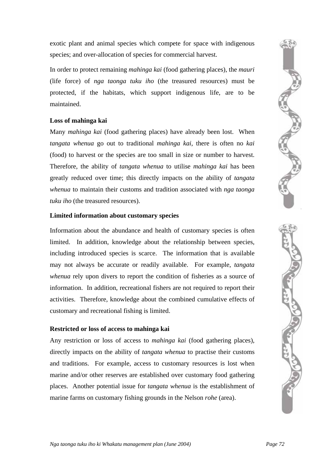exotic plant and animal species which compete for space with indigenous species; and over-allocation of species for commercial harvest.

In order to protect remaining *mahinga kai* (food gathering places), the *mauri* (life force) of *nga taonga tuku iho* (the treasured resources) must be protected, if the habitats, which support indigenous life, are to be maintained.

#### **Loss of mahinga kai**

Many *mahinga kai* (food gathering places) have already been lost. When *tangata whenua* go out to traditional *mahinga kai*, there is often no *kai* (food) to harvest or the species are too small in size or number to harvest. Therefore, the ability of *tangata whenua* to utilise *mahinga kai* has been greatly reduced over time; this directly impacts on the ability of *tangata whenua* to maintain their customs and tradition associated with *nga taonga tuku iho* (the treasured resources).

#### **Limited information about customary species**

Information about the abundance and health of customary species is often limited. In addition, knowledge about the relationship between species, including introduced species is scarce. The information that is available may not always be accurate or readily available. For example, *tangata whenua* rely upon divers to report the condition of fisheries as a source of information. In addition, recreational fishers are not required to report their activities. Therefore, knowledge about the combined cumulative effects of customary and recreational fishing is limited.

#### **Restricted or loss of access to mahinga kai**

Any restriction or loss of access to *mahinga kai* (food gathering places), directly impacts on the ability of *tangata whenua* to practise their customs and traditions. For example, access to customary resources is lost when marine and/or other reserves are established over customary food gathering places. Another potential issue for *tangata whenua* is the establishment of marine farms on customary fishing grounds in the Nelson *rohe* (area).

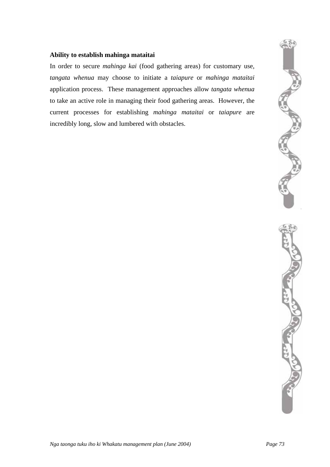#### **Ability to establish mahinga mataitai**

In order to secure *mahinga kai* (food gathering areas) for customary use, *tangata whenua* may choose to initiate a *taiapure* or *mahinga mataitai* application process. These management approaches allow *tangata whenua* to take an active role in managing their food gathering areas. However, the current processes for establishing *mahinga mataitai* or *taiapure* are incredibly long, slow and lumbered with obstacles.

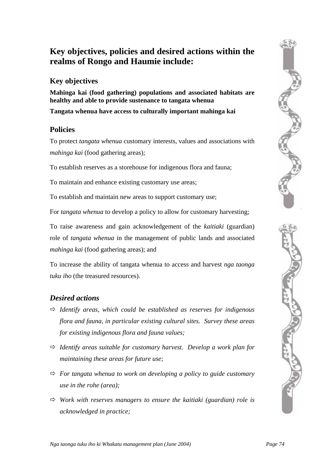# **Key objectives, policies and desired actions within the realms of Rongo and Haumie include:**

### **Key objectives**

**Mahinga kai (food gathering) populations and associated habitats are healthy and able to provide sustenance to tangata whenua** 

**Tangata whenua have access to culturally important mahinga kai** 

### **Policies**

To protect *tangata whenua* customary interests, values and associations with *mahinga kai* (food gathering areas)*;* 

To establish reserves as a storehouse for indigenous flora and fauna;

To maintain and enhance existing customary use areas;

To establish and maintain new areas to support customary use;

For *tangata whenua* to develop a policy to allow for customary harvesting;

To raise awareness and gain acknowledgement of the *kaitiaki* (guardian) role of *tangata whenua* in the management of public lands and associated *mahinga kai* (food gathering areas); and

To increase the ability of tangata whenua to access and harvest *nga taonga tuku iho* (the treasured resources).

## *Desired actions*

- Ö *Identify areas, which could be established as reserves for indigenous flora and fauna, in particular existing cultural sites. Survey these areas for existing indigenous flora and fauna values;*
- Ö *Identify areas suitable for customary harvest. Develop a work plan for maintaining these areas for future use;*
- $\Rightarrow$  *For tangata whenua to work on developing a policy to guide customary use in the rohe (area);*
- $\Rightarrow$  Work with reserves managers to ensure the kaitiaki (guardian) role is *acknowledged in practice;*

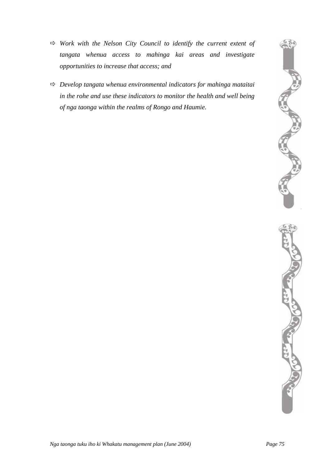- $\Rightarrow$  Work with the Nelson City Council to identify the current extent of *tangata whenua access to mahinga kai areas and investigate opportunities to increase that access; and*
- Ö *Develop tangata whenua environmental indicators for mahinga mataitai in the rohe and use these indicators to monitor the health and well being of nga taonga within the realms of Rongo and Haumie.*



ACTES AND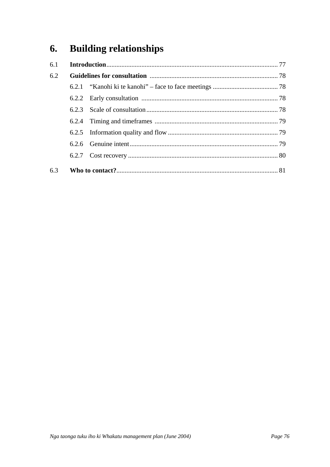#### **Building relationships** 6.

| 6.1 |       |  |  |
|-----|-------|--|--|
| 6.2 |       |  |  |
|     |       |  |  |
|     | 6.2.2 |  |  |
|     |       |  |  |
|     | 6.2.4 |  |  |
|     |       |  |  |
|     |       |  |  |
|     |       |  |  |
|     |       |  |  |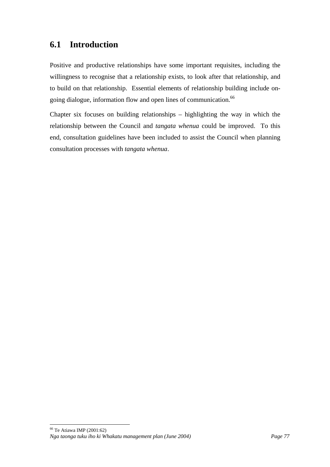# **6.1 Introduction**

Positive and productive relationships have some important requisites, including the willingness to recognise that a relationship exists, to look after that relationship, and to build on that relationship. Essential elements of relationship building include ongoingdialogue, information flow and open lines of communication.<sup>66</sup>

Chapter six focuses on building relationships – highlighting the way in which the relationship between the Council and *tangata whenua* could be improved. To this end, consultation guidelines have been included to assist the Council when planning consultation processes with *tangata whenua*.

<span id="page-80-0"></span> $\overline{a}$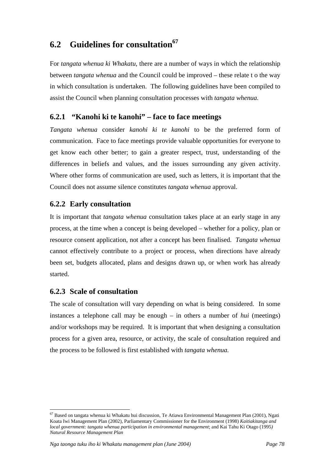# **6.2 Guidelines for consultation[67](#page-81-0)**

For *tangata whenua ki Whakatu*, there are a number of ways in which the relationship between *tangata whenua* and the Council could be improved – these relate t o the way in which consultation is undertaken. The following guidelines have been compiled to assist the Council when planning consultation processes with *tangata whenua.* 

### **6.2.1 "Kanohi ki te kanohi" – face to face meetings**

*Tangata whenua* consider *kanohi ki te kanohi* to be the preferred form of communication. Face to face meetings provide valuable opportunities for everyone to get know each other better; to gain a greater respect, trust, understanding of the differences in beliefs and values, and the issues surrounding any given activity. Where other forms of communication are used, such as letters, it is important that the Council does not assume silence constitutes *tangata whenua* approval.

### **6.2.2 Early consultation**

It is important that *tangata whenua* consultation takes place at an early stage in any process, at the time when a concept is being developed – whether for a policy, plan or resource consent application, not after a concept has been finalised. *Tangata whenua* cannot effectively contribute to a project or process, when directions have already been set, budgets allocated, plans and designs drawn up, or when work has already started.

### **6.2.3 Scale of consultation**

 $\overline{a}$ 

The scale of consultation will vary depending on what is being considered. In some instances a telephone call may be enough – in others a number of *hui* (meetings) and/or workshops may be required. It is important that when designing a consultation process for a given area, resource, or activity, the scale of consultation required and the process to be followed is first established with *tangata whenua.* 

<span id="page-81-0"></span> $67$  Based on tangata whenua ki Whakatu hui discussion, Te Atiawa Environmental Management Plan (2001), Ngati Koata Iwi Management Plan (2002), Parliamentary Commissioner for the Environment (1998) *Kaitiakitanga and local government: tangata whenua participation in environmental management*; and Kai Tahu Ki Otago (1995*) Natural Resource Management Plan*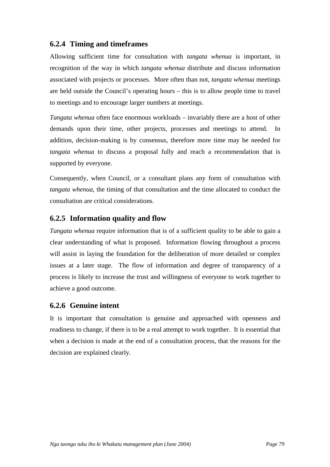### **6.2.4 Timing and timeframes**

Allowing sufficient time for consultation with *tangata whenua* is important, in recognition of the way in which *tangata whenua* distribute and discuss information associated with projects or processes. More often than not, *tangata whenua* meetings are held outside the Council's operating hours – this is to allow people time to travel to meetings and to encourage larger numbers at meetings.

*Tangata whenua* often face enormous workloads – invariably there are a host of other demands upon their time, other projects, processes and meetings to attend. In addition, decision-making is by consensus, therefore more time may be needed for *tangata whenua* to discuss a proposal fully and reach a recommendation that is supported by everyone.

Consequently, when Council, or a consultant plans any form of consultation with *tangata whenua*, the timing of that consultation and the time allocated to conduct the consultation are critical considerations.

### **6.2.5 Information quality and flow**

*Tangata whenua* require information that is of a sufficient quality to be able to gain a clear understanding of what is proposed. Information flowing throughout a process will assist in laying the foundation for the deliberation of more detailed or complex issues at a later stage. The flow of information and degree of transparency of a process is likely to increase the trust and willingness of everyone to work together to achieve a good outcome.

### **6.2.6 Genuine intent**

It is important that consultation is genuine and approached with openness and readiness to change, if there is to be a real attempt to work together. It is essential that when a decision is made at the end of a consultation process, that the reasons for the decision are explained clearly.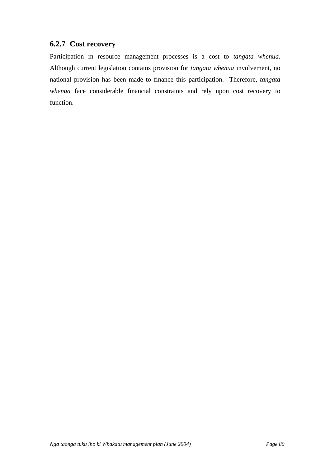### **6.2.7 Cost recovery**

Participation in resource management processes is a cost to *tangata whenua*. Although current legislation contains provision for *tangata whenua* involvement, no national provision has been made to finance this participation. Therefore, *tangata whenua* face considerable financial constraints and rely upon cost recovery to function.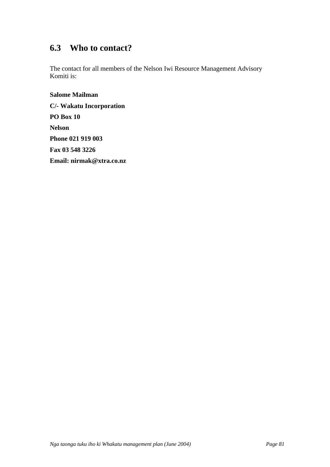# **6.3 Who to contact?**

The contact for all members of the Nelson Iwi Resource Management Advisory Komiti is:

**Salome Mailman C/- Wakatu Incorporation PO Box 10 Nelson Phone 021 919 003 Fax 03 548 3226 Email: nirmak@xtra.co.nz**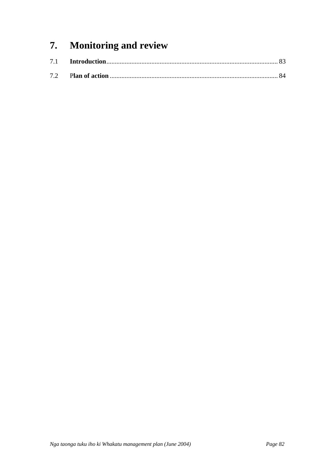# **7. Monitoring and review**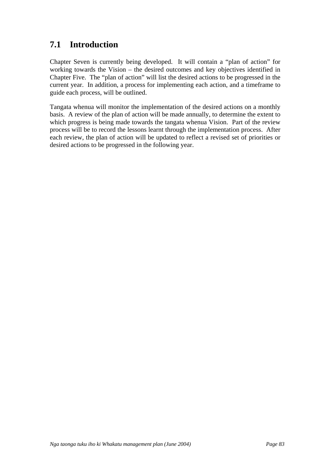# **7.1 Introduction**

Chapter Seven is currently being developed. It will contain a "plan of action" for working towards the Vision – the desired outcomes and key objectives identified in Chapter Five. The "plan of action" will list the desired actions to be progressed in the current year. In addition, a process for implementing each action, and a timeframe to guide each process, will be outlined.

Tangata whenua will monitor the implementation of the desired actions on a monthly basis. A review of the plan of action will be made annually, to determine the extent to which progress is being made towards the tangata whenua Vision. Part of the review process will be to record the lessons learnt through the implementation process. After each review, the plan of action will be updated to reflect a revised set of priorities or desired actions to be progressed in the following year.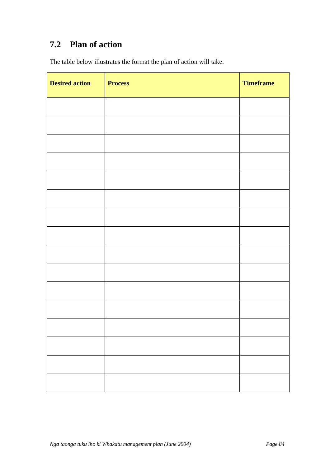# **7.2 Plan of action**

The table below illustrates the format the plan of action will take.

| <b>Desired action</b> | <b>Process</b> | <b>Timeframe</b> |
|-----------------------|----------------|------------------|
|                       |                |                  |
|                       |                |                  |
|                       |                |                  |
|                       |                |                  |
|                       |                |                  |
|                       |                |                  |
|                       |                |                  |
|                       |                |                  |
|                       |                |                  |
|                       |                |                  |
|                       |                |                  |
|                       |                |                  |
|                       |                |                  |
|                       |                |                  |
|                       |                |                  |
|                       |                |                  |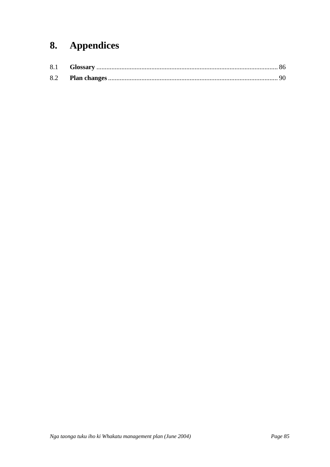# 8. Appendices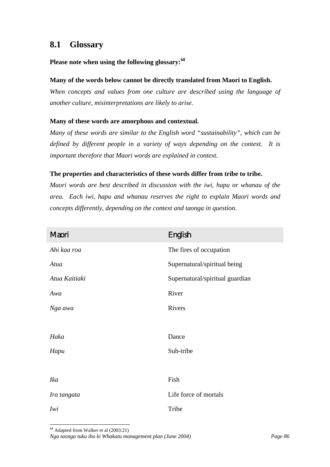## **8.1 Glossary**

#### **Please note when using the following glossary:[68](#page-89-0)**

#### **Many of the words below cannot be directly translated from Maori to English.**

*When concepts and values from one culture are described using the language of another culture, misinterpretations are likely to arise.* 

#### **Many of these words are amorphous and contextual.**

*Many of these words are similar to the English word "sustainability", which can be defined by different people in a variety of ways depending on the context. It is important therefore that Maori words are explained in context.* 

#### **The properties and characteristics of these words differ from tribe to tribe.**

*Maori words are best described in discussion with the iwi, hapu or whanau of the area. Each iwi, hapu and whanau reserves the right to explain Maori words and concepts differently, depending on the context and taonga in question.* 

| Maori         | <b>English</b>                  |
|---------------|---------------------------------|
| Ahi kaa roa   | The fires of occupation         |
| Atua          | Supernatural/spiritual being    |
| Atua Kaitiaki | Supernatural/spiritual guardian |
| Awa           | River                           |
| Nga awa       | Rivers                          |
|               |                                 |
| Haka          | Dance                           |
| Hapu          | Sub-tribe                       |
|               |                                 |
| <b>Ika</b>    | Fish                            |
| Ira tangata   | Life force of mortals           |
| Iwi           | Tribe                           |

<span id="page-89-0"></span>*Nga taonga tuku iho ki Whakatu management plan (June 2004) Page 86*  <sup>68</sup> Adapted from Walker et al (2003:21)

 $\overline{a}$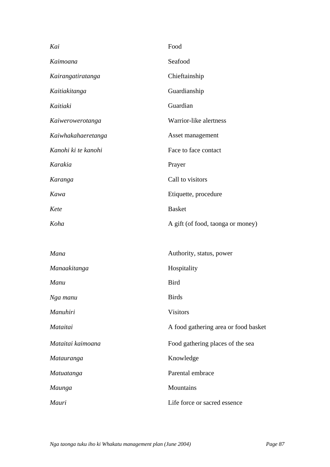| Kai                 | Food                                 |  |
|---------------------|--------------------------------------|--|
| Kaimoana            | Seafood                              |  |
| Kairangatiratanga   | Chieftainship                        |  |
| Kaitiakitanga       | Guardianship                         |  |
| Kaitiaki            | Guardian                             |  |
| Kaiwerowerotanga    | Warrior-like alertness               |  |
| Kaiwhakahaeretanga  | Asset management                     |  |
| Kanohi ki te kanohi | Face to face contact                 |  |
| Karakia             | Prayer                               |  |
| Karanga             | Call to visitors                     |  |
| Kawa                | Etiquette, procedure                 |  |
| Kete                | <b>Basket</b>                        |  |
| Koha                | A gift (of food, taonga or money)    |  |
|                     |                                      |  |
| Mana                | Authority, status, power             |  |
| Manaakitanga        | Hospitality                          |  |
| Manu                | <b>Bird</b>                          |  |
| Nga manu            | <b>Birds</b>                         |  |
| Manuhiri            | <b>Visitors</b>                      |  |
| Mataitai            | A food gathering area or food basket |  |
| Mataitai kaimoana   | Food gathering places of the sea     |  |
| Matauranga          | Knowledge                            |  |
| Matuatanga          | Parental embrace                     |  |
| Maunga              | Mountains                            |  |
| Mauri               | Life force or sacred essence         |  |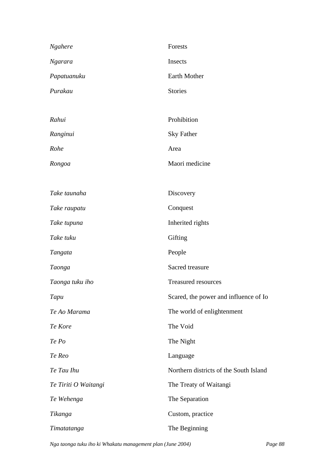| Ngahere              | Forests                                |  |
|----------------------|----------------------------------------|--|
| <b>Ngarara</b>       | Insects                                |  |
| Papatuanuku          | Earth Mother                           |  |
| Purakau              | <b>Stories</b>                         |  |
|                      |                                        |  |
| Rahui                | Prohibition                            |  |
| Ranginui             | <b>Sky Father</b>                      |  |
| Rohe                 | Area                                   |  |
| Rongoa               | Maori medicine                         |  |
|                      |                                        |  |
| Take taunaha         | Discovery                              |  |
| Take raupatu         | Conquest                               |  |
| Take tupuna          | Inherited rights                       |  |
| Take tuku            | Gifting                                |  |
| Tangata              | People                                 |  |
| Taonga               | Sacred treasure                        |  |
| Taonga tuku iho      | <b>Treasured resources</b>             |  |
| Tapu                 | Scared, the power and influence of Io  |  |
| Te Ao Marama         | The world of enlightenment             |  |
| Te Kore              | The Void                               |  |
| Te Po                | The Night                              |  |
| Te Reo               | Language                               |  |
| Te Tau Ihu           | Northern districts of the South Island |  |
| Te Tiriti O Waitangi | The Treaty of Waitangi                 |  |
| Te Wehenga           | The Separation                         |  |
| Tikanga              | Custom, practice                       |  |
| Timatatanga          | The Beginning                          |  |

*Nga taonga tuku iho ki Whakatu management plan (June 2004) Page 88*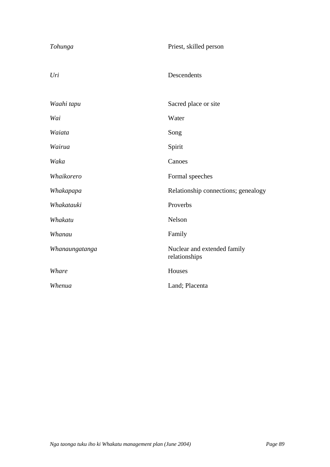| Tohunga        | Priest, skilled person                       |  |
|----------------|----------------------------------------------|--|
| Uri            | Descendents                                  |  |
| Waahi tapu     | Sacred place or site                         |  |
| Wai            | Water                                        |  |
| Waiata         | Song                                         |  |
| Wairua         | Spirit                                       |  |
| Waka           | Canoes                                       |  |
| Whaikorero     | Formal speeches                              |  |
| Whakapapa      | Relationship connections; genealogy          |  |
| Whakatauki     | Proverbs                                     |  |
| Whakatu        | Nelson                                       |  |
| Whanau         | Family                                       |  |
| Whanaungatanga | Nuclear and extended family<br>relationships |  |
| Whare          | Houses                                       |  |
| Whenua         | Land; Placenta                               |  |